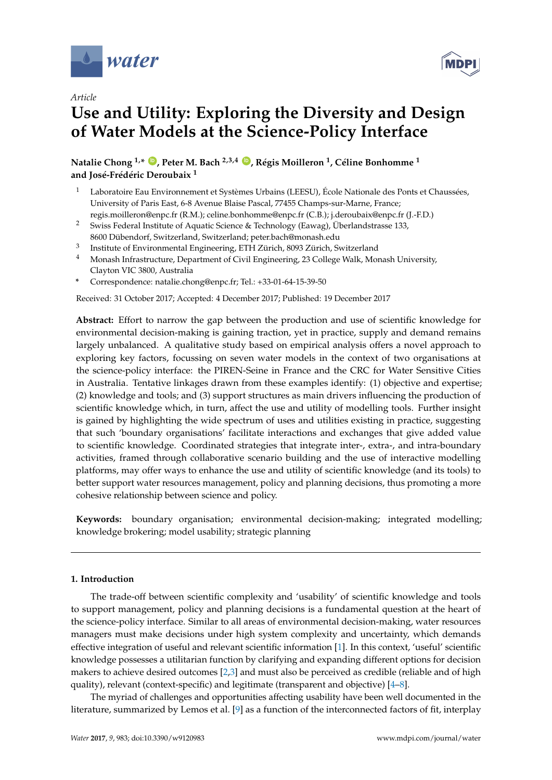



# **Use and Utility: Exploring the Diversity and Design of Water Models at the Science-Policy Interface**

**Natalie Chong 1,\* [ID](https://orcid.org/0000-0002-3833-2057) , Peter M. Bach 2,3,4 [ID](https://orcid.org/0000-0001-5799-6185) , Régis Moilleron <sup>1</sup> , Céline Bonhomme <sup>1</sup> and José-Frédéric Deroubaix <sup>1</sup>**

- <sup>1</sup> Laboratoire Eau Environnement et Systèmes Urbains (LEESU), École Nationale des Ponts et Chaussées, University of Paris East, 6-8 Avenue Blaise Pascal, 77455 Champs-sur-Marne, France;
- regis.moilleron@enpc.fr (R.M.); celine.bonhomme@enpc.fr (C.B.); j.deroubaix@enpc.fr (J.-F.D.) <sup>2</sup> Swiss Federal Institute of Aquatic Science & Technology (Eawag), Überlandstrasse 133, 8600 Dübendorf, Switzerland, Switzerland; peter.bach@monash.edu
- 3 Institute of Environmental Engineering, ETH Zürich, 8093 Zürich, Switzerland
- <sup>4</sup> Monash Infrastructure, Department of Civil Engineering, 23 College Walk, Monash University, Clayton VIC 3800, Australia
- **\*** Correspondence: natalie.chong@enpc.fr; Tel.: +33-01-64-15-39-50

Received: 31 October 2017; Accepted: 4 December 2017; Published: 19 December 2017

**Abstract:** Effort to narrow the gap between the production and use of scientific knowledge for environmental decision-making is gaining traction, yet in practice, supply and demand remains largely unbalanced. A qualitative study based on empirical analysis offers a novel approach to exploring key factors, focussing on seven water models in the context of two organisations at the science-policy interface: the PIREN-Seine in France and the CRC for Water Sensitive Cities in Australia. Tentative linkages drawn from these examples identify: (1) objective and expertise; (2) knowledge and tools; and (3) support structures as main drivers influencing the production of scientific knowledge which, in turn, affect the use and utility of modelling tools. Further insight is gained by highlighting the wide spectrum of uses and utilities existing in practice, suggesting that such 'boundary organisations' facilitate interactions and exchanges that give added value to scientific knowledge. Coordinated strategies that integrate inter-, extra-, and intra-boundary activities, framed through collaborative scenario building and the use of interactive modelling platforms, may offer ways to enhance the use and utility of scientific knowledge (and its tools) to better support water resources management, policy and planning decisions, thus promoting a more cohesive relationship between science and policy.

**Keywords:** boundary organisation; environmental decision-making; integrated modelling; knowledge brokering; model usability; strategic planning

# **1. Introduction**

The trade-off between scientific complexity and 'usability' of scientific knowledge and tools to support management, policy and planning decisions is a fundamental question at the heart of the science-policy interface. Similar to all areas of environmental decision-making, water resources managers must make decisions under high system complexity and uncertainty, which demands effective integration of useful and relevant scientific information [\[1\]](#page-22-0). In this context, 'useful' scientific knowledge possesses a utilitarian function by clarifying and expanding different options for decision makers to achieve desired outcomes [\[2](#page-22-1)[,3\]](#page-22-2) and must also be perceived as credible (reliable and of high quality), relevant (context-specific) and legitimate (transparent and objective) [\[4](#page-22-3)[–8\]](#page-22-4).

The myriad of challenges and opportunities affecting usability have been well documented in the literature, summarized by Lemos et al. [\[9\]](#page-22-5) as a function of the interconnected factors of fit, interplay

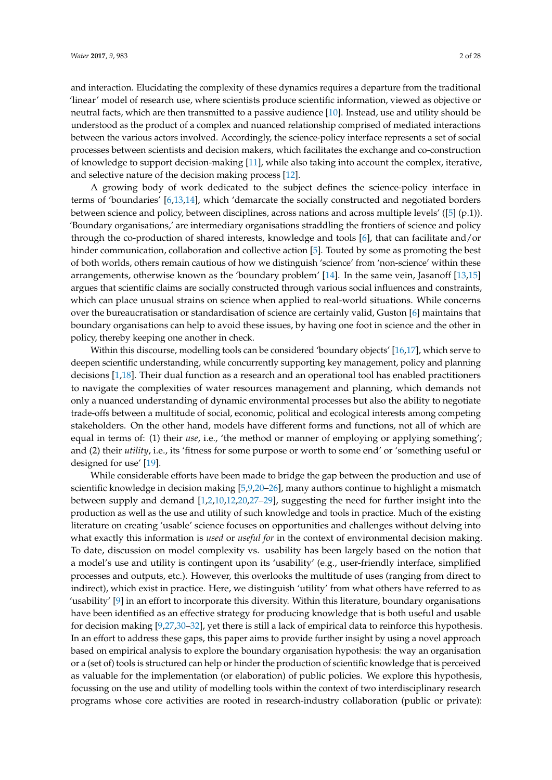and interaction. Elucidating the complexity of these dynamics requires a departure from the traditional 'linear' model of research use, where scientists produce scientific information, viewed as objective or neutral facts, which are then transmitted to a passive audience [\[10\]](#page-22-6). Instead, use and utility should be understood as the product of a complex and nuanced relationship comprised of mediated interactions between the various actors involved. Accordingly, the science-policy interface represents a set of social processes between scientists and decision makers, which facilitates the exchange and co-construction of knowledge to support decision-making [\[11\]](#page-22-7), while also taking into account the complex, iterative, and selective nature of the decision making process [\[12\]](#page-22-8).

A growing body of work dedicated to the subject defines the science-policy interface in terms of 'boundaries' [\[6,](#page-22-9)[13,](#page-22-10)[14\]](#page-22-11), which 'demarcate the socially constructed and negotiated borders between science and policy, between disciplines, across nations and across multiple levels' ([\[5\]](#page-22-12) (p.1)). 'Boundary organisations,' are intermediary organisations straddling the frontiers of science and policy through the co-production of shared interests, knowledge and tools [\[6\]](#page-22-9), that can facilitate and/or hinder communication, collaboration and collective action [\[5\]](#page-22-12). Touted by some as promoting the best of both worlds, others remain cautious of how we distinguish 'science' from 'non-science' within these arrangements, otherwise known as the 'boundary problem' [\[14\]](#page-22-11). In the same vein, Jasanoff [\[13](#page-22-10)[,15\]](#page-22-13) argues that scientific claims are socially constructed through various social influences and constraints, which can place unusual strains on science when applied to real-world situations. While concerns over the bureaucratisation or standardisation of science are certainly valid, Guston [\[6\]](#page-22-9) maintains that boundary organisations can help to avoid these issues, by having one foot in science and the other in policy, thereby keeping one another in check.

Within this discourse, modelling tools can be considered 'boundary objects' [\[16](#page-22-14)[,17\]](#page-22-15), which serve to deepen scientific understanding, while concurrently supporting key management, policy and planning decisions [\[1,](#page-22-0)[18\]](#page-22-16). Their dual function as a research and an operational tool has enabled practitioners to navigate the complexities of water resources management and planning, which demands not only a nuanced understanding of dynamic environmental processes but also the ability to negotiate trade-offs between a multitude of social, economic, political and ecological interests among competing stakeholders. On the other hand, models have different forms and functions, not all of which are equal in terms of: (1) their *use*, i.e., 'the method or manner of employing or applying something'; and (2) their *utility*, i.e., its 'fitness for some purpose or worth to some end' or 'something useful or designed for use' [\[19\]](#page-22-17).

While considerable efforts have been made to bridge the gap between the production and use of scientific knowledge in decision making [\[5](#page-22-12)[,9](#page-22-5)[,20–](#page-22-18)[26\]](#page-23-0), many authors continue to highlight a mismatch between supply and demand [\[1,](#page-22-0)[2,](#page-22-1)[10,](#page-22-6)[12,](#page-22-8)[20,](#page-22-18)[27](#page-23-1)[–29\]](#page-23-2), suggesting the need for further insight into the production as well as the use and utility of such knowledge and tools in practice. Much of the existing literature on creating 'usable' science focuses on opportunities and challenges without delving into what exactly this information is *used* or *useful for* in the context of environmental decision making. To date, discussion on model complexity vs. usability has been largely based on the notion that a model's use and utility is contingent upon its 'usability' (e.g., user-friendly interface, simplified processes and outputs, etc.). However, this overlooks the multitude of uses (ranging from direct to indirect), which exist in practice. Here, we distinguish 'utility' from what others have referred to as 'usability' [\[9\]](#page-22-5) in an effort to incorporate this diversity. Within this literature, boundary organisations have been identified as an effective strategy for producing knowledge that is both useful and usable for decision making [\[9](#page-22-5)[,27](#page-23-1)[,30](#page-23-3)[–32\]](#page-23-4), yet there is still a lack of empirical data to reinforce this hypothesis. In an effort to address these gaps, this paper aims to provide further insight by using a novel approach based on empirical analysis to explore the boundary organisation hypothesis: the way an organisation or a (set of) tools is structured can help or hinder the production of scientific knowledge that is perceived as valuable for the implementation (or elaboration) of public policies. We explore this hypothesis, focussing on the use and utility of modelling tools within the context of two interdisciplinary research programs whose core activities are rooted in research-industry collaboration (public or private):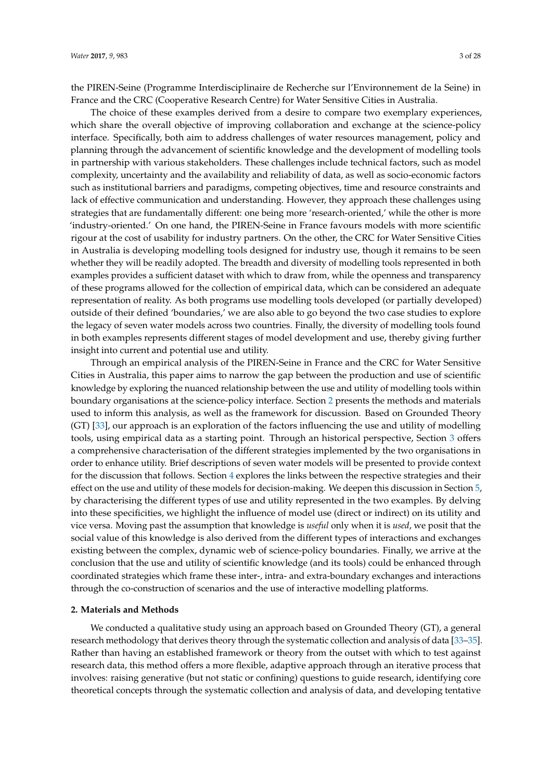the PIREN-Seine (Programme Interdisciplinaire de Recherche sur l'Environnement de la Seine) in France and the CRC (Cooperative Research Centre) for Water Sensitive Cities in Australia.

The choice of these examples derived from a desire to compare two exemplary experiences, which share the overall objective of improving collaboration and exchange at the science-policy interface. Specifically, both aim to address challenges of water resources management, policy and planning through the advancement of scientific knowledge and the development of modelling tools in partnership with various stakeholders. These challenges include technical factors, such as model complexity, uncertainty and the availability and reliability of data, as well as socio-economic factors such as institutional barriers and paradigms, competing objectives, time and resource constraints and lack of effective communication and understanding. However, they approach these challenges using strategies that are fundamentally different: one being more 'research-oriented,' while the other is more 'industry-oriented.' On one hand, the PIREN-Seine in France favours models with more scientific rigour at the cost of usability for industry partners. On the other, the CRC for Water Sensitive Cities in Australia is developing modelling tools designed for industry use, though it remains to be seen whether they will be readily adopted. The breadth and diversity of modelling tools represented in both examples provides a sufficient dataset with which to draw from, while the openness and transparency of these programs allowed for the collection of empirical data, which can be considered an adequate representation of reality. As both programs use modelling tools developed (or partially developed) outside of their defined 'boundaries,' we are also able to go beyond the two case studies to explore the legacy of seven water models across two countries. Finally, the diversity of modelling tools found in both examples represents different stages of model development and use, thereby giving further insight into current and potential use and utility.

Through an empirical analysis of the PIREN-Seine in France and the CRC for Water Sensitive Cities in Australia, this paper aims to narrow the gap between the production and use of scientific knowledge by exploring the nuanced relationship between the use and utility of modelling tools within boundary organisations at the science-policy interface. Section [2](#page-2-0) presents the methods and materials used to inform this analysis, as well as the framework for discussion. Based on Grounded Theory (GT) [\[33\]](#page-23-5), our approach is an exploration of the factors influencing the use and utility of modelling tools, using empirical data as a starting point. Through an historical perspective, Section [3](#page-4-0) offers a comprehensive characterisation of the different strategies implemented by the two organisations in order to enhance utility. Brief descriptions of seven water models will be presented to provide context for the discussion that follows. Section [4](#page-11-0) explores the links between the respective strategies and their effect on the use and utility of these models for decision-making. We deepen this discussion in Section [5,](#page-15-0) by characterising the different types of use and utility represented in the two examples. By delving into these specificities, we highlight the influence of model use (direct or indirect) on its utility and vice versa. Moving past the assumption that knowledge is *useful* only when it is *used*, we posit that the social value of this knowledge is also derived from the different types of interactions and exchanges existing between the complex, dynamic web of science-policy boundaries. Finally, we arrive at the conclusion that the use and utility of scientific knowledge (and its tools) could be enhanced through coordinated strategies which frame these inter-, intra- and extra-boundary exchanges and interactions through the co-construction of scenarios and the use of interactive modelling platforms.

#### <span id="page-2-0"></span>**2. Materials and Methods**

We conducted a qualitative study using an approach based on Grounded Theory (GT), a general research methodology that derives theory through the systematic collection and analysis of data [\[33–](#page-23-5)[35\]](#page-23-6). Rather than having an established framework or theory from the outset with which to test against research data, this method offers a more flexible, adaptive approach through an iterative process that involves: raising generative (but not static or confining) questions to guide research, identifying core theoretical concepts through the systematic collection and analysis of data, and developing tentative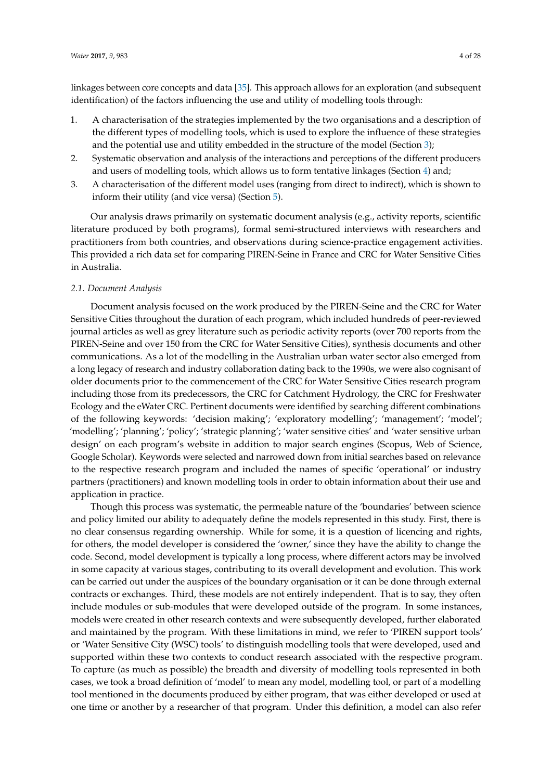linkages between core concepts and data [\[35\]](#page-23-6). This approach allows for an exploration (and subsequent identification) of the factors influencing the use and utility of modelling tools through:

- 1. A characterisation of the strategies implemented by the two organisations and a description of the different types of modelling tools, which is used to explore the influence of these strategies and the potential use and utility embedded in the structure of the model (Section [3\)](#page-4-0);
- 2. Systematic observation and analysis of the interactions and perceptions of the different producers and users of modelling tools, which allows us to form tentative linkages (Section [4\)](#page-11-0) and;
- 3. A characterisation of the different model uses (ranging from direct to indirect), which is shown to inform their utility (and vice versa) (Section [5\)](#page-15-0).

Our analysis draws primarily on systematic document analysis (e.g., activity reports, scientific literature produced by both programs), formal semi-structured interviews with researchers and practitioners from both countries, and observations during science-practice engagement activities. This provided a rich data set for comparing PIREN-Seine in France and CRC for Water Sensitive Cities in Australia.

# *2.1. Document Analysis*

Document analysis focused on the work produced by the PIREN-Seine and the CRC for Water Sensitive Cities throughout the duration of each program, which included hundreds of peer-reviewed journal articles as well as grey literature such as periodic activity reports (over 700 reports from the PIREN-Seine and over 150 from the CRC for Water Sensitive Cities), synthesis documents and other communications. As a lot of the modelling in the Australian urban water sector also emerged from a long legacy of research and industry collaboration dating back to the 1990s, we were also cognisant of older documents prior to the commencement of the CRC for Water Sensitive Cities research program including those from its predecessors, the CRC for Catchment Hydrology, the CRC for Freshwater Ecology and the eWater CRC. Pertinent documents were identified by searching different combinations of the following keywords: 'decision making'; 'exploratory modelling'; 'management'; 'model'; 'modelling'; 'planning'; 'policy'; 'strategic planning'; 'water sensitive cities' and 'water sensitive urban design' on each program's website in addition to major search engines (Scopus, Web of Science, Google Scholar). Keywords were selected and narrowed down from initial searches based on relevance to the respective research program and included the names of specific 'operational' or industry partners (practitioners) and known modelling tools in order to obtain information about their use and application in practice.

Though this process was systematic, the permeable nature of the 'boundaries' between science and policy limited our ability to adequately define the models represented in this study. First, there is no clear consensus regarding ownership. While for some, it is a question of licencing and rights, for others, the model developer is considered the 'owner,' since they have the ability to change the code. Second, model development is typically a long process, where different actors may be involved in some capacity at various stages, contributing to its overall development and evolution. This work can be carried out under the auspices of the boundary organisation or it can be done through external contracts or exchanges. Third, these models are not entirely independent. That is to say, they often include modules or sub-modules that were developed outside of the program. In some instances, models were created in other research contexts and were subsequently developed, further elaborated and maintained by the program. With these limitations in mind, we refer to 'PIREN support tools' or 'Water Sensitive City (WSC) tools' to distinguish modelling tools that were developed, used and supported within these two contexts to conduct research associated with the respective program. To capture (as much as possible) the breadth and diversity of modelling tools represented in both cases, we took a broad definition of 'model' to mean any model, modelling tool, or part of a modelling tool mentioned in the documents produced by either program, that was either developed or used at one time or another by a researcher of that program. Under this definition, a model can also refer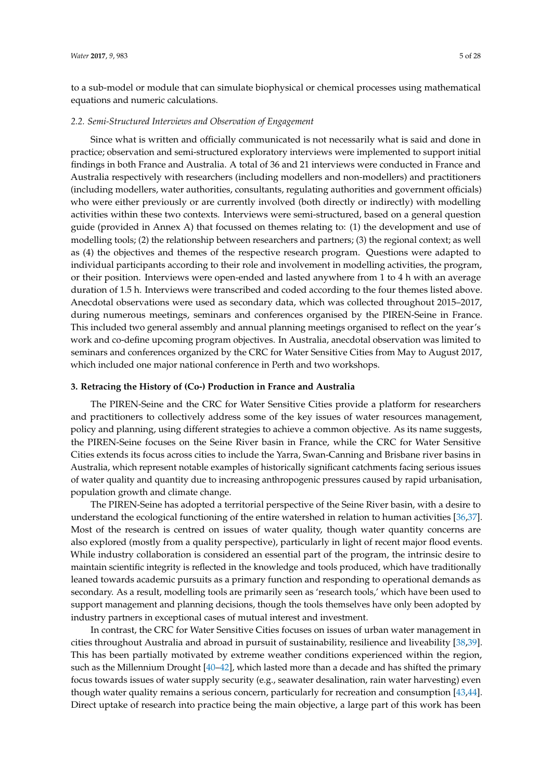to a sub-model or module that can simulate biophysical or chemical processes using mathematical equations and numeric calculations.

#### *2.2. Semi-Structured Interviews and Observation of Engagement*

Since what is written and officially communicated is not necessarily what is said and done in practice; observation and semi-structured exploratory interviews were implemented to support initial findings in both France and Australia. A total of 36 and 21 interviews were conducted in France and Australia respectively with researchers (including modellers and non-modellers) and practitioners (including modellers, water authorities, consultants, regulating authorities and government officials) who were either previously or are currently involved (both directly or indirectly) with modelling activities within these two contexts. Interviews were semi-structured, based on a general question guide (provided in Annex A) that focussed on themes relating to: (1) the development and use of modelling tools; (2) the relationship between researchers and partners; (3) the regional context; as well as (4) the objectives and themes of the respective research program. Questions were adapted to individual participants according to their role and involvement in modelling activities, the program, or their position. Interviews were open-ended and lasted anywhere from 1 to 4 h with an average duration of 1.5 h. Interviews were transcribed and coded according to the four themes listed above. Anecdotal observations were used as secondary data, which was collected throughout 2015–2017, during numerous meetings, seminars and conferences organised by the PIREN-Seine in France. This included two general assembly and annual planning meetings organised to reflect on the year's work and co-define upcoming program objectives. In Australia, anecdotal observation was limited to seminars and conferences organized by the CRC for Water Sensitive Cities from May to August 2017, which included one major national conference in Perth and two workshops.

#### <span id="page-4-0"></span>**3. Retracing the History of (Co-) Production in France and Australia**

The PIREN-Seine and the CRC for Water Sensitive Cities provide a platform for researchers and practitioners to collectively address some of the key issues of water resources management, policy and planning, using different strategies to achieve a common objective. As its name suggests, the PIREN-Seine focuses on the Seine River basin in France, while the CRC for Water Sensitive Cities extends its focus across cities to include the Yarra, Swan-Canning and Brisbane river basins in Australia, which represent notable examples of historically significant catchments facing serious issues of water quality and quantity due to increasing anthropogenic pressures caused by rapid urbanisation, population growth and climate change.

The PIREN-Seine has adopted a territorial perspective of the Seine River basin, with a desire to understand the ecological functioning of the entire watershed in relation to human activities [\[36,](#page-23-7)[37\]](#page-23-8). Most of the research is centred on issues of water quality, though water quantity concerns are also explored (mostly from a quality perspective), particularly in light of recent major flood events. While industry collaboration is considered an essential part of the program, the intrinsic desire to maintain scientific integrity is reflected in the knowledge and tools produced, which have traditionally leaned towards academic pursuits as a primary function and responding to operational demands as secondary. As a result, modelling tools are primarily seen as 'research tools,' which have been used to support management and planning decisions, though the tools themselves have only been adopted by industry partners in exceptional cases of mutual interest and investment.

In contrast, the CRC for Water Sensitive Cities focuses on issues of urban water management in cities throughout Australia and abroad in pursuit of sustainability, resilience and liveability [\[38,](#page-23-9)[39\]](#page-23-10). This has been partially motivated by extreme weather conditions experienced within the region, such as the Millennium Drought [\[40](#page-23-11)[–42\]](#page-23-12), which lasted more than a decade and has shifted the primary focus towards issues of water supply security (e.g., seawater desalination, rain water harvesting) even though water quality remains a serious concern, particularly for recreation and consumption [\[43,](#page-23-13)[44\]](#page-23-14). Direct uptake of research into practice being the main objective, a large part of this work has been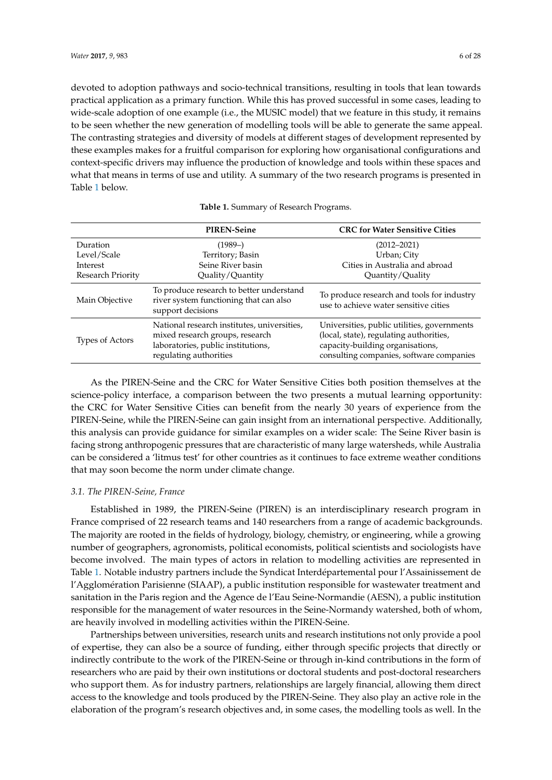devoted to adoption pathways and socio-technical transitions, resulting in tools that lean towards practical application as a primary function. While this has proved successful in some cases, leading to wide-scale adoption of one example (i.e., the MUSIC model) that we feature in this study, it remains to be seen whether the new generation of modelling tools will be able to generate the same appeal. The contrasting strategies and diversity of models at different stages of development represented by these examples makes for a fruitful comparison for exploring how organisational configurations and context-specific drivers may influence the production of knowledge and tools within these spaces and what that means in terms of use and utility. A summary of the two research programs is presented in Table [1](#page-5-0) below.

<span id="page-5-0"></span>

|                   | <b>PIREN-Seine</b>                                                                                                                             | <b>CRC</b> for Water Sensitive Cities                                                                                                                                  |
|-------------------|------------------------------------------------------------------------------------------------------------------------------------------------|------------------------------------------------------------------------------------------------------------------------------------------------------------------------|
| Duration          | $(1989-)$                                                                                                                                      | $(2012 - 2021)$                                                                                                                                                        |
| Level/Scale       | Territory; Basin                                                                                                                               | Urban; City                                                                                                                                                            |
| Interest          | Seine River basin                                                                                                                              | Cities in Australia and abroad                                                                                                                                         |
| Research Priority | Quality/Quantity                                                                                                                               | Quantity/Quality                                                                                                                                                       |
| Main Objective    | To produce research to better understand<br>river system functioning that can also<br>support decisions                                        | To produce research and tools for industry<br>use to achieve water sensitive cities                                                                                    |
| Types of Actors   | National research institutes, universities,<br>mixed research groups, research<br>laboratories, public institutions,<br>regulating authorities | Universities, public utilities, governments<br>(local, state), regulating authorities,<br>capacity-building organisations,<br>consulting companies, software companies |

#### **Table 1.** Summary of Research Programs.

As the PIREN-Seine and the CRC for Water Sensitive Cities both position themselves at the science-policy interface, a comparison between the two presents a mutual learning opportunity: the CRC for Water Sensitive Cities can benefit from the nearly 30 years of experience from the PIREN-Seine, while the PIREN-Seine can gain insight from an international perspective. Additionally, this analysis can provide guidance for similar examples on a wider scale: The Seine River basin is facing strong anthropogenic pressures that are characteristic of many large watersheds, while Australia can be considered a 'litmus test' for other countries as it continues to face extreme weather conditions that may soon become the norm under climate change.

# *3.1. The PIREN-Seine, France*

Established in 1989, the PIREN-Seine (PIREN) is an interdisciplinary research program in France comprised of 22 research teams and 140 researchers from a range of academic backgrounds. The majority are rooted in the fields of hydrology, biology, chemistry, or engineering, while a growing number of geographers, agronomists, political economists, political scientists and sociologists have become involved. The main types of actors in relation to modelling activities are represented in Table [1.](#page-5-0) Notable industry partners include the Syndicat Interdépartemental pour l'Assainissement de l'Agglomération Parisienne (SIAAP), a public institution responsible for wastewater treatment and sanitation in the Paris region and the Agence de l'Eau Seine-Normandie (AESN), a public institution responsible for the management of water resources in the Seine-Normandy watershed, both of whom, are heavily involved in modelling activities within the PIREN-Seine.

Partnerships between universities, research units and research institutions not only provide a pool of expertise, they can also be a source of funding, either through specific projects that directly or indirectly contribute to the work of the PIREN-Seine or through in-kind contributions in the form of researchers who are paid by their own institutions or doctoral students and post-doctoral researchers who support them. As for industry partners, relationships are largely financial, allowing them direct access to the knowledge and tools produced by the PIREN-Seine. They also play an active role in the elaboration of the program's research objectives and, in some cases, the modelling tools as well. In the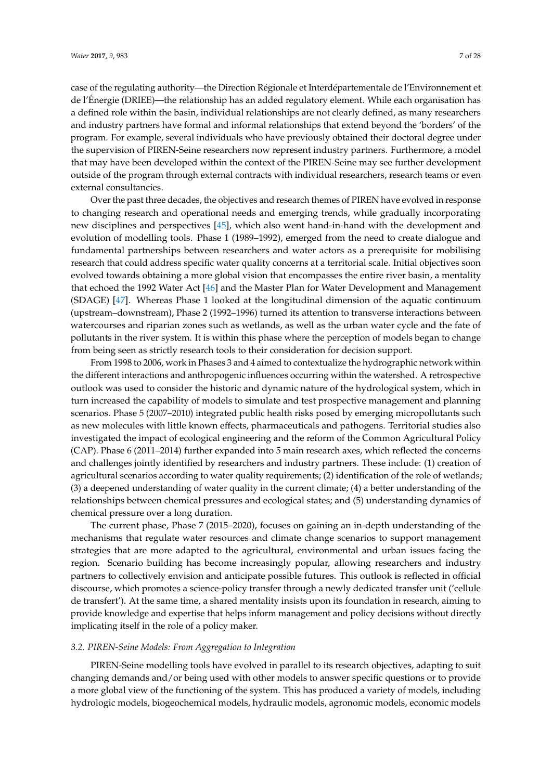external consultancies.

case of the regulating authority—the Direction Régionale et Interdépartementale de l'Environnement et de l'Énergie (DRIEE)—the relationship has an added regulatory element. While each organisation has a defined role within the basin, individual relationships are not clearly defined, as many researchers and industry partners have formal and informal relationships that extend beyond the 'borders' of the program. For example, several individuals who have previously obtained their doctoral degree under the supervision of PIREN-Seine researchers now represent industry partners. Furthermore, a model that may have been developed within the context of the PIREN-Seine may see further development outside of the program through external contracts with individual researchers, research teams or even

Over the past three decades, the objectives and research themes of PIREN have evolved in response to changing research and operational needs and emerging trends, while gradually incorporating new disciplines and perspectives [\[45\]](#page-23-15), which also went hand-in-hand with the development and evolution of modelling tools. Phase 1 (1989–1992), emerged from the need to create dialogue and fundamental partnerships between researchers and water actors as a prerequisite for mobilising research that could address specific water quality concerns at a territorial scale. Initial objectives soon evolved towards obtaining a more global vision that encompasses the entire river basin, a mentality that echoed the 1992 Water Act [\[46\]](#page-23-16) and the Master Plan for Water Development and Management (SDAGE) [\[47\]](#page-23-17). Whereas Phase 1 looked at the longitudinal dimension of the aquatic continuum (upstream–downstream), Phase 2 (1992–1996) turned its attention to transverse interactions between watercourses and riparian zones such as wetlands, as well as the urban water cycle and the fate of pollutants in the river system. It is within this phase where the perception of models began to change from being seen as strictly research tools to their consideration for decision support.

From 1998 to 2006, work in Phases 3 and 4 aimed to contextualize the hydrographic network within the different interactions and anthropogenic influences occurring within the watershed. A retrospective outlook was used to consider the historic and dynamic nature of the hydrological system, which in turn increased the capability of models to simulate and test prospective management and planning scenarios. Phase 5 (2007–2010) integrated public health risks posed by emerging micropollutants such as new molecules with little known effects, pharmaceuticals and pathogens. Territorial studies also investigated the impact of ecological engineering and the reform of the Common Agricultural Policy (CAP). Phase 6 (2011–2014) further expanded into 5 main research axes, which reflected the concerns and challenges jointly identified by researchers and industry partners. These include: (1) creation of agricultural scenarios according to water quality requirements; (2) identification of the role of wetlands; (3) a deepened understanding of water quality in the current climate; (4) a better understanding of the relationships between chemical pressures and ecological states; and (5) understanding dynamics of chemical pressure over a long duration.

The current phase, Phase 7 (2015–2020), focuses on gaining an in-depth understanding of the mechanisms that regulate water resources and climate change scenarios to support management strategies that are more adapted to the agricultural, environmental and urban issues facing the region. Scenario building has become increasingly popular, allowing researchers and industry partners to collectively envision and anticipate possible futures. This outlook is reflected in official discourse, which promotes a science-policy transfer through a newly dedicated transfer unit ('cellule de transfert'). At the same time, a shared mentality insists upon its foundation in research, aiming to provide knowledge and expertise that helps inform management and policy decisions without directly implicating itself in the role of a policy maker.

#### *3.2. PIREN-Seine Models: From Aggregation to Integration*

PIREN-Seine modelling tools have evolved in parallel to its research objectives, adapting to suit changing demands and/or being used with other models to answer specific questions or to provide a more global view of the functioning of the system. This has produced a variety of models, including hydrologic models, biogeochemical models, hydraulic models, agronomic models, economic models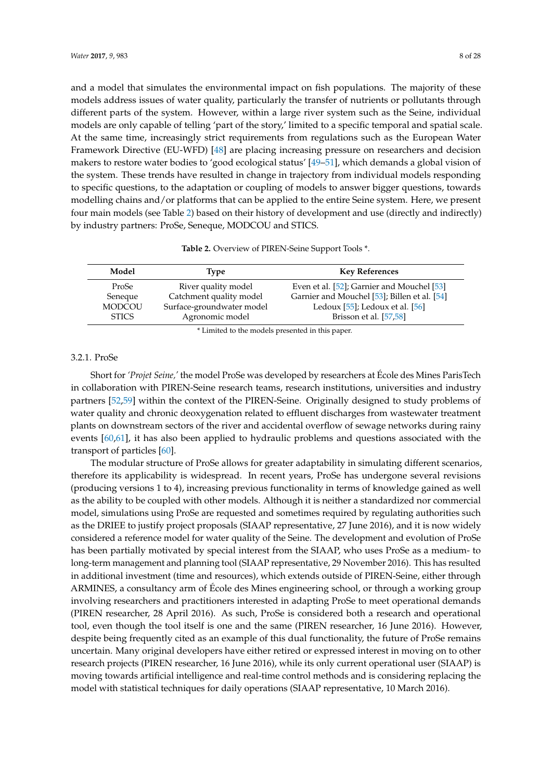and a model that simulates the environmental impact on fish populations. The majority of these models address issues of water quality, particularly the transfer of nutrients or pollutants through different parts of the system. However, within a large river system such as the Seine, individual models are only capable of telling 'part of the story,' limited to a specific temporal and spatial scale. At the same time, increasingly strict requirements from regulations such as the European Water Framework Directive (EU-WFD) [\[48\]](#page-23-18) are placing increasing pressure on researchers and decision makers to restore water bodies to 'good ecological status' [\[49–](#page-24-0)[51\]](#page-24-1), which demands a global vision of the system. These trends have resulted in change in trajectory from individual models responding to specific questions, to the adaptation or coupling of models to answer bigger questions, towards modelling chains and/or platforms that can be applied to the entire Seine system. Here, we present four main models (see Table [2\)](#page-7-0) based on their history of development and use (directly and indirectly) by industry partners: ProSe, Seneque, MODCOU and STICS.

|  |  | Table 2. Overview of PIREN-Seine Support Tools *. |
|--|--|---------------------------------------------------|
|--|--|---------------------------------------------------|

<span id="page-7-0"></span>

| Model         | Tvpe                      | <b>Key References</b>                        |
|---------------|---------------------------|----------------------------------------------|
| ProSe         | River quality model       | Even et al. [52]; Garnier and Mouchel [53]   |
| Seneque       | Catchment quality model   | Garnier and Mouchel [53]; Billen et al. [54] |
| <b>MODCOU</b> | Surface-groundwater model | Ledoux $[55]$ ; Ledoux et al. $[56]$         |
| <b>STICS</b>  | Agronomic model           | Brisson et al. [57,58]                       |

\* Limited to the models presented in this paper.

# 3.2.1. ProSe

Short for *'Projet Seine,'* the model ProSe was developed by researchers at École des Mines ParisTech in collaboration with PIREN-Seine research teams, research institutions, universities and industry partners [\[52](#page-24-2)[,59\]](#page-24-9) within the context of the PIREN-Seine. Originally designed to study problems of water quality and chronic deoxygenation related to effluent discharges from wastewater treatment plants on downstream sectors of the river and accidental overflow of sewage networks during rainy events [\[60](#page-24-10)[,61\]](#page-24-11), it has also been applied to hydraulic problems and questions associated with the transport of particles [\[60\]](#page-24-10).

The modular structure of ProSe allows for greater adaptability in simulating different scenarios, therefore its applicability is widespread. In recent years, ProSe has undergone several revisions (producing versions 1 to 4), increasing previous functionality in terms of knowledge gained as well as the ability to be coupled with other models. Although it is neither a standardized nor commercial model, simulations using ProSe are requested and sometimes required by regulating authorities such as the DRIEE to justify project proposals (SIAAP representative, 27 June 2016), and it is now widely considered a reference model for water quality of the Seine. The development and evolution of ProSe has been partially motivated by special interest from the SIAAP, who uses ProSe as a medium- to long-term management and planning tool (SIAAP representative, 29 November 2016). This has resulted in additional investment (time and resources), which extends outside of PIREN-Seine, either through ARMINES, a consultancy arm of École des Mines engineering school, or through a working group involving researchers and practitioners interested in adapting ProSe to meet operational demands (PIREN researcher, 28 April 2016). As such, ProSe is considered both a research and operational tool, even though the tool itself is one and the same (PIREN researcher, 16 June 2016). However, despite being frequently cited as an example of this dual functionality, the future of ProSe remains uncertain. Many original developers have either retired or expressed interest in moving on to other research projects (PIREN researcher, 16 June 2016), while its only current operational user (SIAAP) is moving towards artificial intelligence and real-time control methods and is considering replacing the model with statistical techniques for daily operations (SIAAP representative, 10 March 2016).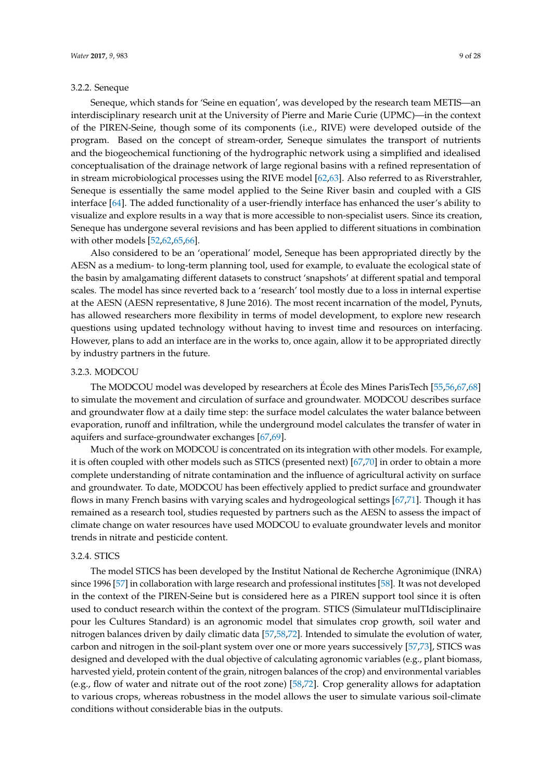# 3.2.2. Seneque

Seneque, which stands for 'Seine en equation', was developed by the research team METIS—an interdisciplinary research unit at the University of Pierre and Marie Curie (UPMC)—in the context of the PIREN-Seine, though some of its components (i.e., RIVE) were developed outside of the program. Based on the concept of stream-order, Seneque simulates the transport of nutrients and the biogeochemical functioning of the hydrographic network using a simplified and idealised conceptualisation of the drainage network of large regional basins with a refined representation of in stream microbiological processes using the RIVE model [\[62](#page-24-12)[,63\]](#page-24-13). Also referred to as Riverstrahler, Seneque is essentially the same model applied to the Seine River basin and coupled with a GIS interface [\[64\]](#page-24-14). The added functionality of a user-friendly interface has enhanced the user's ability to visualize and explore results in a way that is more accessible to non-specialist users. Since its creation, Seneque has undergone several revisions and has been applied to different situations in combination with other models [\[52,](#page-24-2)[62](#page-24-12)[,65](#page-24-15)[,66\]](#page-24-16).

Also considered to be an 'operational' model, Seneque has been appropriated directly by the AESN as a medium- to long-term planning tool, used for example, to evaluate the ecological state of the basin by amalgamating different datasets to construct 'snapshots' at different spatial and temporal scales. The model has since reverted back to a 'research' tool mostly due to a loss in internal expertise at the AESN (AESN representative, 8 June 2016). The most recent incarnation of the model, Pynuts, has allowed researchers more flexibility in terms of model development, to explore new research questions using updated technology without having to invest time and resources on interfacing. However, plans to add an interface are in the works to, once again, allow it to be appropriated directly by industry partners in the future.

# 3.2.3. MODCOU

The MODCOU model was developed by researchers at École des Mines ParisTech [\[55](#page-24-5)[,56](#page-24-6)[,67](#page-24-17)[,68\]](#page-24-18) to simulate the movement and circulation of surface and groundwater. MODCOU describes surface and groundwater flow at a daily time step: the surface model calculates the water balance between evaporation, runoff and infiltration, while the underground model calculates the transfer of water in aquifers and surface-groundwater exchanges [\[67,](#page-24-17)[69\]](#page-24-19).

Much of the work on MODCOU is concentrated on its integration with other models. For example, it is often coupled with other models such as STICS (presented next) [\[67](#page-24-17)[,70\]](#page-25-0) in order to obtain a more complete understanding of nitrate contamination and the influence of agricultural activity on surface and groundwater. To date, MODCOU has been effectively applied to predict surface and groundwater flows in many French basins with varying scales and hydrogeological settings [\[67](#page-24-17)[,71\]](#page-25-1). Though it has remained as a research tool, studies requested by partners such as the AESN to assess the impact of climate change on water resources have used MODCOU to evaluate groundwater levels and monitor trends in nitrate and pesticide content.

# 3.2.4. STICS

The model STICS has been developed by the Institut National de Recherche Agronimique (INRA) since 1996 [\[57\]](#page-24-7) in collaboration with large research and professional institutes [\[58\]](#page-24-8). It was not developed in the context of the PIREN-Seine but is considered here as a PIREN support tool since it is often used to conduct research within the context of the program. STICS (Simulateur mulTIdisciplinaire pour les Cultures Standard) is an agronomic model that simulates crop growth, soil water and nitrogen balances driven by daily climatic data [\[57](#page-24-7)[,58,](#page-24-8)[72\]](#page-25-2). Intended to simulate the evolution of water, carbon and nitrogen in the soil-plant system over one or more years successively [\[57](#page-24-7)[,73\]](#page-25-3), STICS was designed and developed with the dual objective of calculating agronomic variables (e.g., plant biomass, harvested yield, protein content of the grain, nitrogen balances of the crop) and environmental variables (e.g., flow of water and nitrate out of the root zone) [\[58,](#page-24-8)[72\]](#page-25-2). Crop generality allows for adaptation to various crops, whereas robustness in the model allows the user to simulate various soil-climate conditions without considerable bias in the outputs.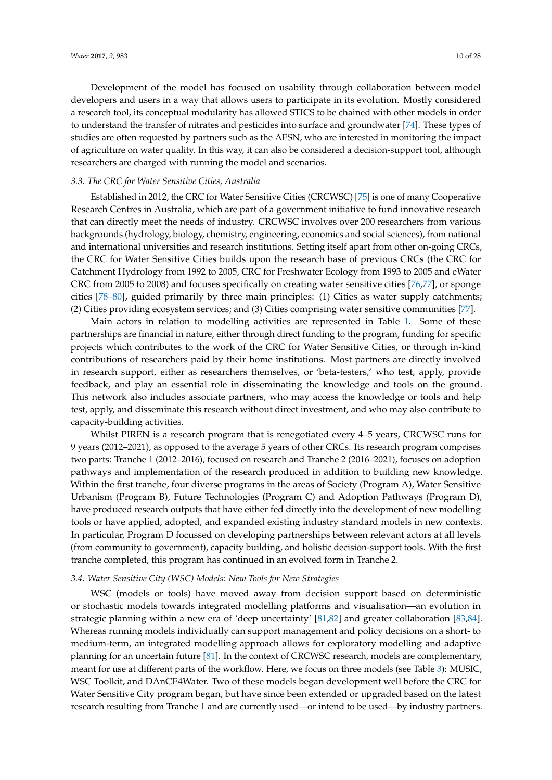Development of the model has focused on usability through collaboration between model developers and users in a way that allows users to participate in its evolution. Mostly considered a research tool, its conceptual modularity has allowed STICS to be chained with other models in order to understand the transfer of nitrates and pesticides into surface and groundwater [\[74\]](#page-25-4). These types of studies are often requested by partners such as the AESN, who are interested in monitoring the impact of agriculture on water quality. In this way, it can also be considered a decision-support tool, although researchers are charged with running the model and scenarios.

#### *3.3. The CRC for Water Sensitive Cities, Australia*

Established in 2012, the CRC for Water Sensitive Cities (CRCWSC) [\[75\]](#page-25-5) is one of many Cooperative Research Centres in Australia, which are part of a government initiative to fund innovative research that can directly meet the needs of industry. CRCWSC involves over 200 researchers from various backgrounds (hydrology, biology, chemistry, engineering, economics and social sciences), from national and international universities and research institutions. Setting itself apart from other on-going CRCs, the CRC for Water Sensitive Cities builds upon the research base of previous CRCs (the CRC for Catchment Hydrology from 1992 to 2005, CRC for Freshwater Ecology from 1993 to 2005 and eWater CRC from 2005 to 2008) and focuses specifically on creating water sensitive cities [\[76](#page-25-6)[,77\]](#page-25-7), or sponge cities [\[78](#page-25-8)[–80\]](#page-25-9), guided primarily by three main principles: (1) Cities as water supply catchments; (2) Cities providing ecosystem services; and (3) Cities comprising water sensitive communities [\[77\]](#page-25-7).

Main actors in relation to modelling activities are represented in Table [1.](#page-5-0) Some of these partnerships are financial in nature, either through direct funding to the program, funding for specific projects which contributes to the work of the CRC for Water Sensitive Cities, or through in-kind contributions of researchers paid by their home institutions. Most partners are directly involved in research support, either as researchers themselves, or 'beta-testers,' who test, apply, provide feedback, and play an essential role in disseminating the knowledge and tools on the ground. This network also includes associate partners, who may access the knowledge or tools and help test, apply, and disseminate this research without direct investment, and who may also contribute to capacity-building activities.

Whilst PIREN is a research program that is renegotiated every 4–5 years, CRCWSC runs for 9 years (2012–2021), as opposed to the average 5 years of other CRCs. Its research program comprises two parts: Tranche 1 (2012–2016), focused on research and Tranche 2 (2016–2021), focuses on adoption pathways and implementation of the research produced in addition to building new knowledge. Within the first tranche, four diverse programs in the areas of Society (Program A), Water Sensitive Urbanism (Program B), Future Technologies (Program C) and Adoption Pathways (Program D), have produced research outputs that have either fed directly into the development of new modelling tools or have applied, adopted, and expanded existing industry standard models in new contexts. In particular, Program D focussed on developing partnerships between relevant actors at all levels (from community to government), capacity building, and holistic decision-support tools. With the first tranche completed, this program has continued in an evolved form in Tranche 2.

#### *3.4. Water Sensitive City (WSC) Models: New Tools for New Strategies*

WSC (models or tools) have moved away from decision support based on deterministic or stochastic models towards integrated modelling platforms and visualisation—an evolution in strategic planning within a new era of 'deep uncertainty' [\[81,](#page-25-10)[82\]](#page-25-11) and greater collaboration [\[83,](#page-25-12)[84\]](#page-25-13). Whereas running models individually can support management and policy decisions on a short- to medium-term, an integrated modelling approach allows for exploratory modelling and adaptive planning for an uncertain future [\[81\]](#page-25-10). In the context of CRCWSC research, models are complementary, meant for use at different parts of the workflow. Here, we focus on three models (see Table [3\)](#page-10-0): MUSIC, WSC Toolkit, and DAnCE4Water. Two of these models began development well before the CRC for Water Sensitive City program began, but have since been extended or upgraded based on the latest research resulting from Tranche 1 and are currently used—or intend to be used—by industry partners.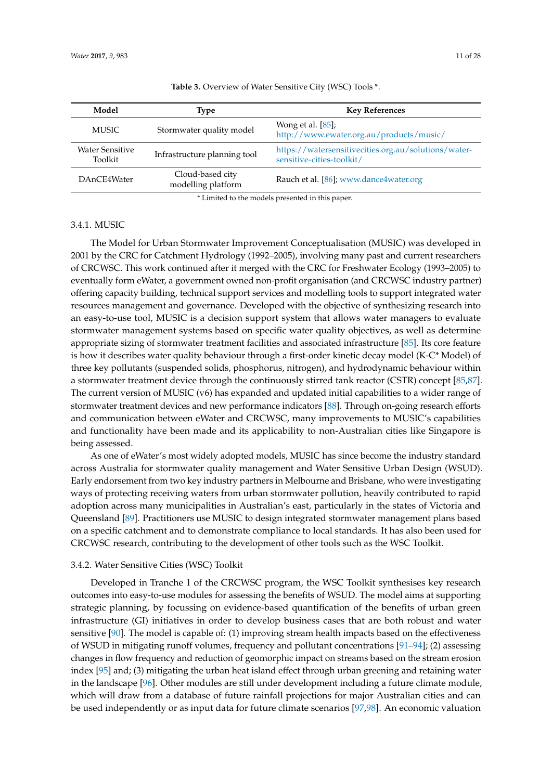<span id="page-10-0"></span>

| Model                             | Type                                   | <b>Key References</b>                                                             |
|-----------------------------------|----------------------------------------|-----------------------------------------------------------------------------------|
| <b>MUSIC</b>                      | Stormwater quality model               | Wong et al. $[85]$ ;<br>http://www.ewater.org.au/products/music/                  |
| <b>Water Sensitive</b><br>Toolkit | Infrastructure planning tool           | https://watersensitivecities.org.au/solutions/water-<br>sensitive-cities-toolkit/ |
| DAnCE4Water                       | Cloud-based city<br>modelling platform | Rauch et al. [86]; www.dance4water.org                                            |
|                                   |                                        |                                                                                   |

**Table 3.** Overview of Water Sensitive City (WSC) Tools \*.

\* Limited to the models presented in this paper.

#### 3.4.1. MUSIC

The Model for Urban Stormwater Improvement Conceptualisation (MUSIC) was developed in 2001 by the CRC for Catchment Hydrology (1992–2005), involving many past and current researchers of CRCWSC. This work continued after it merged with the CRC for Freshwater Ecology (1993–2005) to eventually form eWater, a government owned non-profit organisation (and CRCWSC industry partner) offering capacity building, technical support services and modelling tools to support integrated water resources management and governance. Developed with the objective of synthesizing research into an easy-to-use tool, MUSIC is a decision support system that allows water managers to evaluate stormwater management systems based on specific water quality objectives, as well as determine appropriate sizing of stormwater treatment facilities and associated infrastructure [\[85\]](#page-25-14). Its core feature is how it describes water quality behaviour through a first-order kinetic decay model (K-C\* Model) of three key pollutants (suspended solids, phosphorus, nitrogen), and hydrodynamic behaviour within a stormwater treatment device through the continuously stirred tank reactor (CSTR) concept [\[85,](#page-25-14)[87\]](#page-25-16). The current version of MUSIC (v6) has expanded and updated initial capabilities to a wider range of stormwater treatment devices and new performance indicators [\[88\]](#page-25-17). Through on-going research efforts and communication between eWater and CRCWSC, many improvements to MUSIC's capabilities and functionality have been made and its applicability to non-Australian cities like Singapore is being assessed.

As one of eWater's most widely adopted models, MUSIC has since become the industry standard across Australia for stormwater quality management and Water Sensitive Urban Design (WSUD). Early endorsement from two key industry partners in Melbourne and Brisbane, who were investigating ways of protecting receiving waters from urban stormwater pollution, heavily contributed to rapid adoption across many municipalities in Australian's east, particularly in the states of Victoria and Queensland [\[89\]](#page-25-18). Practitioners use MUSIC to design integrated stormwater management plans based on a specific catchment and to demonstrate compliance to local standards. It has also been used for CRCWSC research, contributing to the development of other tools such as the WSC Toolkit.

#### 3.4.2. Water Sensitive Cities (WSC) Toolkit

Developed in Tranche 1 of the CRCWSC program, the WSC Toolkit synthesises key research outcomes into easy-to-use modules for assessing the benefits of WSUD. The model aims at supporting strategic planning, by focussing on evidence-based quantification of the benefits of urban green infrastructure (GI) initiatives in order to develop business cases that are both robust and water sensitive [\[90\]](#page-25-19). The model is capable of: (1) improving stream health impacts based on the effectiveness of WSUD in mitigating runoff volumes, frequency and pollutant concentrations [\[91–](#page-25-20)[94\]](#page-26-0); (2) assessing changes in flow frequency and reduction of geomorphic impact on streams based on the stream erosion index [\[95\]](#page-26-1) and; (3) mitigating the urban heat island effect through urban greening and retaining water in the landscape [\[96\]](#page-26-2). Other modules are still under development including a future climate module, which will draw from a database of future rainfall projections for major Australian cities and can be used independently or as input data for future climate scenarios [\[97](#page-26-3)[,98\]](#page-26-4). An economic valuation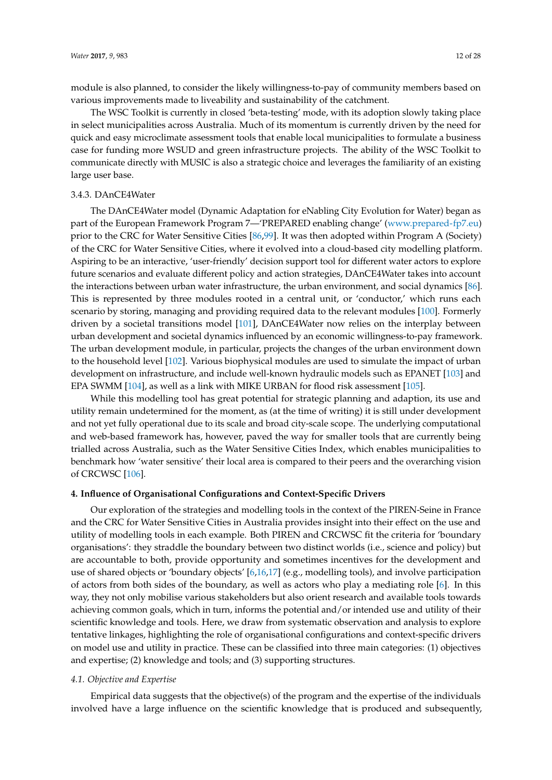module is also planned, to consider the likely willingness-to-pay of community members based on various improvements made to liveability and sustainability of the catchment.

The WSC Toolkit is currently in closed 'beta-testing' mode, with its adoption slowly taking place in select municipalities across Australia. Much of its momentum is currently driven by the need for quick and easy microclimate assessment tools that enable local municipalities to formulate a business case for funding more WSUD and green infrastructure projects. The ability of the WSC Toolkit to communicate directly with MUSIC is also a strategic choice and leverages the familiarity of an existing large user base.

# 3.4.3. DAnCE4Water

The DAnCE4Water model (Dynamic Adaptation for eNabling City Evolution for Water) began as part of the European Framework Program 7—'PREPARED enabling change' [\(www.prepared-fp7.eu\)](www.prepared-fp7.eu) prior to the CRC for Water Sensitive Cities [\[86](#page-25-15)[,99\]](#page-26-5). It was then adopted within Program A (Society) of the CRC for Water Sensitive Cities, where it evolved into a cloud-based city modelling platform. Aspiring to be an interactive, 'user-friendly' decision support tool for different water actors to explore future scenarios and evaluate different policy and action strategies, DAnCE4Water takes into account the interactions between urban water infrastructure, the urban environment, and social dynamics [\[86\]](#page-25-15). This is represented by three modules rooted in a central unit, or 'conductor,' which runs each scenario by storing, managing and providing required data to the relevant modules [\[100\]](#page-26-6). Formerly driven by a societal transitions model [\[101\]](#page-26-7), DAnCE4Water now relies on the interplay between urban development and societal dynamics influenced by an economic willingness-to-pay framework. The urban development module, in particular, projects the changes of the urban environment down to the household level [\[102\]](#page-26-8). Various biophysical modules are used to simulate the impact of urban development on infrastructure, and include well-known hydraulic models such as EPANET [\[103\]](#page-26-9) and EPA SWMM [\[104\]](#page-26-10), as well as a link with MIKE URBAN for flood risk assessment [\[105\]](#page-26-11).

While this modelling tool has great potential for strategic planning and adaption, its use and utility remain undetermined for the moment, as (at the time of writing) it is still under development and not yet fully operational due to its scale and broad city-scale scope. The underlying computational and web-based framework has, however, paved the way for smaller tools that are currently being trialled across Australia, such as the Water Sensitive Cities Index, which enables municipalities to benchmark how 'water sensitive' their local area is compared to their peers and the overarching vision of CRCWSC [\[106\]](#page-26-12).

# <span id="page-11-0"></span>**4. Influence of Organisational Configurations and Context-Specific Drivers**

Our exploration of the strategies and modelling tools in the context of the PIREN-Seine in France and the CRC for Water Sensitive Cities in Australia provides insight into their effect on the use and utility of modelling tools in each example. Both PIREN and CRCWSC fit the criteria for 'boundary organisations': they straddle the boundary between two distinct worlds (i.e., science and policy) but are accountable to both, provide opportunity and sometimes incentives for the development and use of shared objects or 'boundary objects' [\[6,](#page-22-9)[16,](#page-22-14)[17\]](#page-22-15) (e.g., modelling tools), and involve participation of actors from both sides of the boundary, as well as actors who play a mediating role [\[6\]](#page-22-9). In this way, they not only mobilise various stakeholders but also orient research and available tools towards achieving common goals, which in turn, informs the potential and/or intended use and utility of their scientific knowledge and tools. Here, we draw from systematic observation and analysis to explore tentative linkages, highlighting the role of organisational configurations and context-specific drivers on model use and utility in practice. These can be classified into three main categories: (1) objectives and expertise; (2) knowledge and tools; and (3) supporting structures.

#### *4.1. Objective and Expertise*

Empirical data suggests that the objective(s) of the program and the expertise of the individuals involved have a large influence on the scientific knowledge that is produced and subsequently,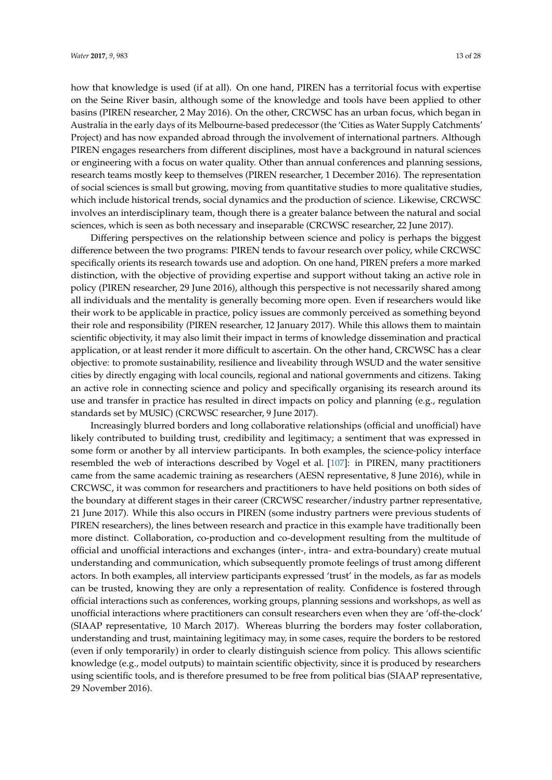how that knowledge is used (if at all). On one hand, PIREN has a territorial focus with expertise on the Seine River basin, although some of the knowledge and tools have been applied to other basins (PIREN researcher, 2 May 2016). On the other, CRCWSC has an urban focus, which began in Australia in the early days of its Melbourne-based predecessor (the 'Cities as Water Supply Catchments' Project) and has now expanded abroad through the involvement of international partners. Although PIREN engages researchers from different disciplines, most have a background in natural sciences or engineering with a focus on water quality. Other than annual conferences and planning sessions, research teams mostly keep to themselves (PIREN researcher, 1 December 2016). The representation of social sciences is small but growing, moving from quantitative studies to more qualitative studies, which include historical trends, social dynamics and the production of science. Likewise, CRCWSC

involves an interdisciplinary team, though there is a greater balance between the natural and social

sciences, which is seen as both necessary and inseparable (CRCWSC researcher, 22 June 2017). Differing perspectives on the relationship between science and policy is perhaps the biggest difference between the two programs: PIREN tends to favour research over policy, while CRCWSC specifically orients its research towards use and adoption. On one hand, PIREN prefers a more marked distinction, with the objective of providing expertise and support without taking an active role in policy (PIREN researcher, 29 June 2016), although this perspective is not necessarily shared among all individuals and the mentality is generally becoming more open. Even if researchers would like their work to be applicable in practice, policy issues are commonly perceived as something beyond their role and responsibility (PIREN researcher, 12 January 2017). While this allows them to maintain scientific objectivity, it may also limit their impact in terms of knowledge dissemination and practical application, or at least render it more difficult to ascertain. On the other hand, CRCWSC has a clear objective: to promote sustainability, resilience and liveability through WSUD and the water sensitive cities by directly engaging with local councils, regional and national governments and citizens. Taking an active role in connecting science and policy and specifically organising its research around its use and transfer in practice has resulted in direct impacts on policy and planning (e.g., regulation standards set by MUSIC) (CRCWSC researcher, 9 June 2017).

Increasingly blurred borders and long collaborative relationships (official and unofficial) have likely contributed to building trust, credibility and legitimacy; a sentiment that was expressed in some form or another by all interview participants. In both examples, the science-policy interface resembled the web of interactions described by Vogel et al. [\[107\]](#page-26-13): in PIREN, many practitioners came from the same academic training as researchers (AESN representative, 8 June 2016), while in CRCWSC, it was common for researchers and practitioners to have held positions on both sides of the boundary at different stages in their career (CRCWSC researcher/industry partner representative, 21 June 2017). While this also occurs in PIREN (some industry partners were previous students of PIREN researchers), the lines between research and practice in this example have traditionally been more distinct. Collaboration, co-production and co-development resulting from the multitude of official and unofficial interactions and exchanges (inter-, intra- and extra-boundary) create mutual understanding and communication, which subsequently promote feelings of trust among different actors. In both examples, all interview participants expressed 'trust' in the models, as far as models can be trusted, knowing they are only a representation of reality. Confidence is fostered through official interactions such as conferences, working groups, planning sessions and workshops, as well as unofficial interactions where practitioners can consult researchers even when they are 'off-the-clock' (SIAAP representative, 10 March 2017). Whereas blurring the borders may foster collaboration, understanding and trust, maintaining legitimacy may, in some cases, require the borders to be restored (even if only temporarily) in order to clearly distinguish science from policy. This allows scientific knowledge (e.g., model outputs) to maintain scientific objectivity, since it is produced by researchers using scientific tools, and is therefore presumed to be free from political bias (SIAAP representative, 29 November 2016).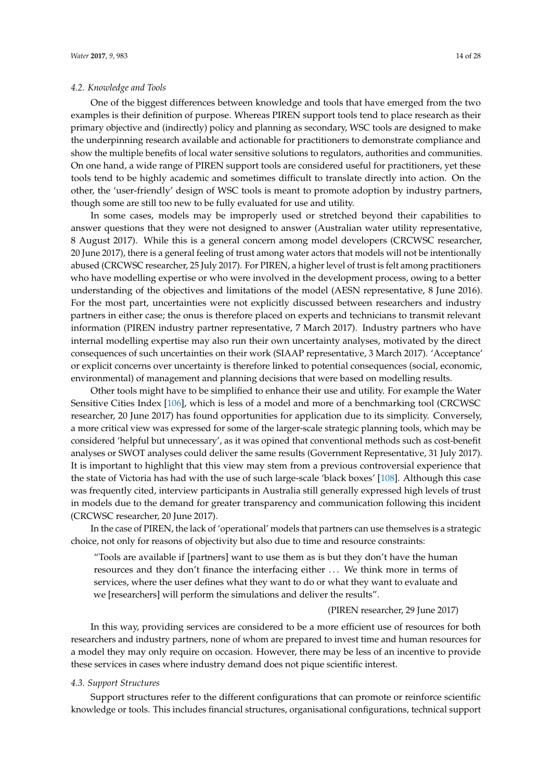#### *4.2. Knowledge and Tools*

One of the biggest differences between knowledge and tools that have emerged from the two examples is their definition of purpose. Whereas PIREN support tools tend to place research as their primary objective and (indirectly) policy and planning as secondary, WSC tools are designed to make the underpinning research available and actionable for practitioners to demonstrate compliance and show the multiple benefits of local water sensitive solutions to regulators, authorities and communities. On one hand, a wide range of PIREN support tools are considered useful for practitioners, yet these tools tend to be highly academic and sometimes difficult to translate directly into action. On the other, the 'user-friendly' design of WSC tools is meant to promote adoption by industry partners, though some are still too new to be fully evaluated for use and utility.

In some cases, models may be improperly used or stretched beyond their capabilities to answer questions that they were not designed to answer (Australian water utility representative, 8 August 2017). While this is a general concern among model developers (CRCWSC researcher, 20 June 2017), there is a general feeling of trust among water actors that models will not be intentionally abused (CRCWSC researcher, 25 July 2017). For PIREN, a higher level of trust is felt among practitioners who have modelling expertise or who were involved in the development process, owing to a better understanding of the objectives and limitations of the model (AESN representative, 8 June 2016). For the most part, uncertainties were not explicitly discussed between researchers and industry partners in either case; the onus is therefore placed on experts and technicians to transmit relevant information (PIREN industry partner representative, 7 March 2017). Industry partners who have internal modelling expertise may also run their own uncertainty analyses, motivated by the direct consequences of such uncertainties on their work (SIAAP representative, 3 March 2017). 'Acceptance' or explicit concerns over uncertainty is therefore linked to potential consequences (social, economic, environmental) of management and planning decisions that were based on modelling results.

Other tools might have to be simplified to enhance their use and utility. For example the Water Sensitive Cities Index [\[106\]](#page-26-12), which is less of a model and more of a benchmarking tool (CRCWSC researcher, 20 June 2017) has found opportunities for application due to its simplicity. Conversely, a more critical view was expressed for some of the larger-scale strategic planning tools, which may be considered 'helpful but unnecessary', as it was opined that conventional methods such as cost-benefit analyses or SWOT analyses could deliver the same results (Government Representative, 31 July 2017). It is important to highlight that this view may stem from a previous controversial experience that the state of Victoria has had with the use of such large-scale 'black boxes' [\[108\]](#page-26-14). Although this case was frequently cited, interview participants in Australia still generally expressed high levels of trust in models due to the demand for greater transparency and communication following this incident (CRCWSC researcher, 20 June 2017).

In the case of PIREN, the lack of 'operational' models that partners can use themselves is a strategic choice, not only for reasons of objectivity but also due to time and resource constraints:

"Tools are available if [partners] want to use them as is but they don't have the human resources and they don't finance the interfacing either . . . We think more in terms of services, where the user defines what they want to do or what they want to evaluate and we [researchers] will perform the simulations and deliver the results".

#### (PIREN researcher, 29 June 2017)

In this way, providing services are considered to be a more efficient use of resources for both researchers and industry partners, none of whom are prepared to invest time and human resources for a model they may only require on occasion. However, there may be less of an incentive to provide these services in cases where industry demand does not pique scientific interest.

# *4.3. Support Structures*

Support structures refer to the different configurations that can promote or reinforce scientific knowledge or tools. This includes financial structures, organisational configurations, technical support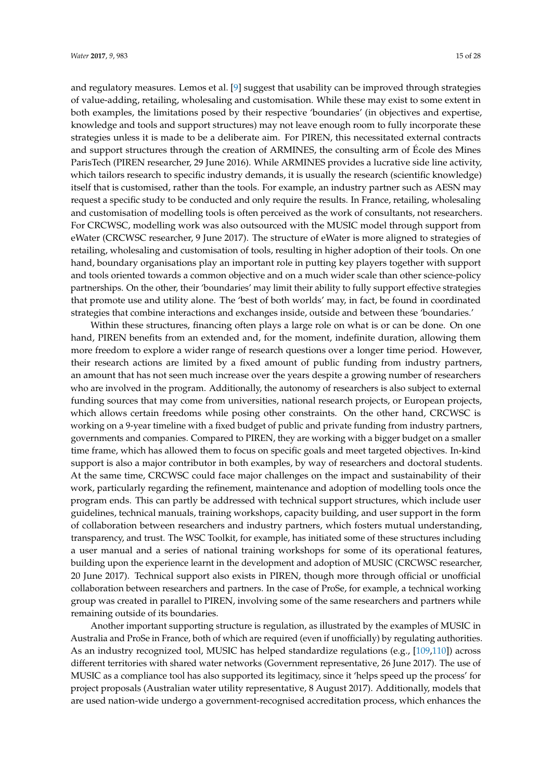and regulatory measures. Lemos et al. [\[9\]](#page-22-5) suggest that usability can be improved through strategies of value-adding, retailing, wholesaling and customisation. While these may exist to some extent in both examples, the limitations posed by their respective 'boundaries' (in objectives and expertise, knowledge and tools and support structures) may not leave enough room to fully incorporate these strategies unless it is made to be a deliberate aim. For PIREN, this necessitated external contracts and support structures through the creation of ARMINES, the consulting arm of École des Mines ParisTech (PIREN researcher, 29 June 2016). While ARMINES provides a lucrative side line activity, which tailors research to specific industry demands, it is usually the research (scientific knowledge) itself that is customised, rather than the tools. For example, an industry partner such as AESN may request a specific study to be conducted and only require the results. In France, retailing, wholesaling and customisation of modelling tools is often perceived as the work of consultants, not researchers. For CRCWSC, modelling work was also outsourced with the MUSIC model through support from eWater (CRCWSC researcher, 9 June 2017). The structure of eWater is more aligned to strategies of retailing, wholesaling and customisation of tools, resulting in higher adoption of their tools. On one hand, boundary organisations play an important role in putting key players together with support and tools oriented towards a common objective and on a much wider scale than other science-policy partnerships. On the other, their 'boundaries' may limit their ability to fully support effective strategies that promote use and utility alone. The 'best of both worlds' may, in fact, be found in coordinated strategies that combine interactions and exchanges inside, outside and between these 'boundaries.'

Within these structures, financing often plays a large role on what is or can be done. On one hand, PIREN benefits from an extended and, for the moment, indefinite duration, allowing them more freedom to explore a wider range of research questions over a longer time period. However, their research actions are limited by a fixed amount of public funding from industry partners, an amount that has not seen much increase over the years despite a growing number of researchers who are involved in the program. Additionally, the autonomy of researchers is also subject to external funding sources that may come from universities, national research projects, or European projects, which allows certain freedoms while posing other constraints. On the other hand, CRCWSC is working on a 9-year timeline with a fixed budget of public and private funding from industry partners, governments and companies. Compared to PIREN, they are working with a bigger budget on a smaller time frame, which has allowed them to focus on specific goals and meet targeted objectives. In-kind support is also a major contributor in both examples, by way of researchers and doctoral students. At the same time, CRCWSC could face major challenges on the impact and sustainability of their work, particularly regarding the refinement, maintenance and adoption of modelling tools once the program ends. This can partly be addressed with technical support structures, which include user guidelines, technical manuals, training workshops, capacity building, and user support in the form of collaboration between researchers and industry partners, which fosters mutual understanding, transparency, and trust. The WSC Toolkit, for example, has initiated some of these structures including a user manual and a series of national training workshops for some of its operational features, building upon the experience learnt in the development and adoption of MUSIC (CRCWSC researcher, 20 June 2017). Technical support also exists in PIREN, though more through official or unofficial collaboration between researchers and partners. In the case of ProSe, for example, a technical working group was created in parallel to PIREN, involving some of the same researchers and partners while remaining outside of its boundaries.

Another important supporting structure is regulation, as illustrated by the examples of MUSIC in Australia and ProSe in France, both of which are required (even if unofficially) by regulating authorities. As an industry recognized tool, MUSIC has helped standardize regulations (e.g., [\[109](#page-26-15)[,110\]](#page-26-16)) across different territories with shared water networks (Government representative, 26 June 2017). The use of MUSIC as a compliance tool has also supported its legitimacy, since it 'helps speed up the process' for project proposals (Australian water utility representative, 8 August 2017). Additionally, models that are used nation-wide undergo a government-recognised accreditation process, which enhances the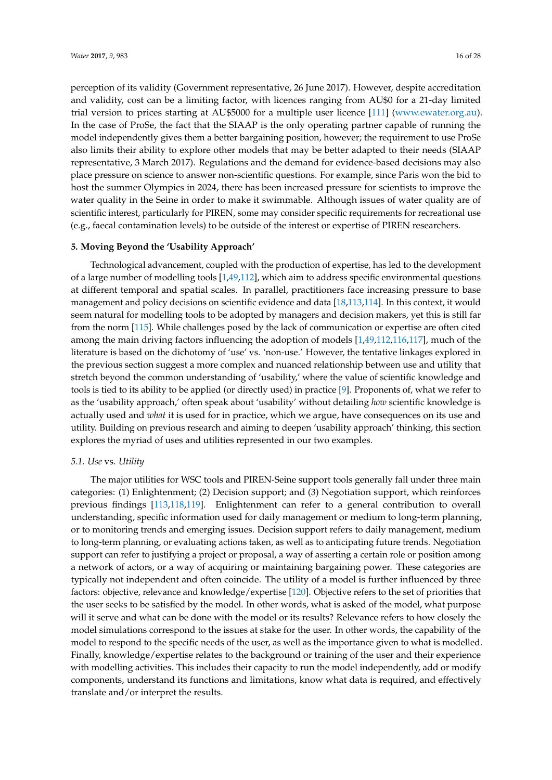perception of its validity (Government representative, 26 June 2017). However, despite accreditation and validity, cost can be a limiting factor, with licences ranging from AU\$0 for a 21-day limited trial version to prices starting at AU\$5000 for a multiple user licence [\[111\]](#page-26-17) [\(www.ewater.org.au\)](www.ewater.org.au). In the case of ProSe, the fact that the SIAAP is the only operating partner capable of running the model independently gives them a better bargaining position, however; the requirement to use ProSe also limits their ability to explore other models that may be better adapted to their needs (SIAAP representative, 3 March 2017). Regulations and the demand for evidence-based decisions may also place pressure on science to answer non-scientific questions. For example, since Paris won the bid to host the summer Olympics in 2024, there has been increased pressure for scientists to improve the water quality in the Seine in order to make it swimmable. Although issues of water quality are of scientific interest, particularly for PIREN, some may consider specific requirements for recreational use (e.g., faecal contamination levels) to be outside of the interest or expertise of PIREN researchers.

### <span id="page-15-0"></span>**5. Moving Beyond the 'Usability Approach'**

Technological advancement, coupled with the production of expertise, has led to the development of a large number of modelling tools [\[1,](#page-22-0)[49](#page-24-0)[,112\]](#page-26-18), which aim to address specific environmental questions at different temporal and spatial scales. In parallel, practitioners face increasing pressure to base management and policy decisions on scientific evidence and data [\[18](#page-22-16)[,113](#page-26-19)[,114\]](#page-26-20). In this context, it would seem natural for modelling tools to be adopted by managers and decision makers, yet this is still far from the norm [\[115\]](#page-27-0). While challenges posed by the lack of communication or expertise are often cited among the main driving factors influencing the adoption of models [\[1,](#page-22-0)[49,](#page-24-0)[112,](#page-26-18)[116,](#page-27-1)[117\]](#page-27-2), much of the literature is based on the dichotomy of 'use' vs. 'non-use.' However, the tentative linkages explored in the previous section suggest a more complex and nuanced relationship between use and utility that stretch beyond the common understanding of 'usability,' where the value of scientific knowledge and tools is tied to its ability to be applied (or directly used) in practice [\[9\]](#page-22-5). Proponents of, what we refer to as the 'usability approach,' often speak about 'usability' without detailing *how* scientific knowledge is actually used and *what* it is used for in practice, which we argue, have consequences on its use and utility. Building on previous research and aiming to deepen 'usability approach' thinking, this section explores the myriad of uses and utilities represented in our two examples.

#### *5.1. Use* vs. *Utility*

The major utilities for WSC tools and PIREN-Seine support tools generally fall under three main categories: (1) Enlightenment; (2) Decision support; and (3) Negotiation support, which reinforces previous findings [\[113,](#page-26-19)[118,](#page-27-3)[119\]](#page-27-4). Enlightenment can refer to a general contribution to overall understanding, specific information used for daily management or medium to long-term planning, or to monitoring trends and emerging issues. Decision support refers to daily management, medium to long-term planning, or evaluating actions taken, as well as to anticipating future trends. Negotiation support can refer to justifying a project or proposal, a way of asserting a certain role or position among a network of actors, or a way of acquiring or maintaining bargaining power. These categories are typically not independent and often coincide. The utility of a model is further influenced by three factors: objective, relevance and knowledge/expertise [\[120\]](#page-27-5). Objective refers to the set of priorities that the user seeks to be satisfied by the model. In other words, what is asked of the model, what purpose will it serve and what can be done with the model or its results? Relevance refers to how closely the model simulations correspond to the issues at stake for the user. In other words, the capability of the model to respond to the specific needs of the user, as well as the importance given to what is modelled. Finally, knowledge/expertise relates to the background or training of the user and their experience with modelling activities. This includes their capacity to run the model independently, add or modify components, understand its functions and limitations, know what data is required, and effectively translate and/or interpret the results.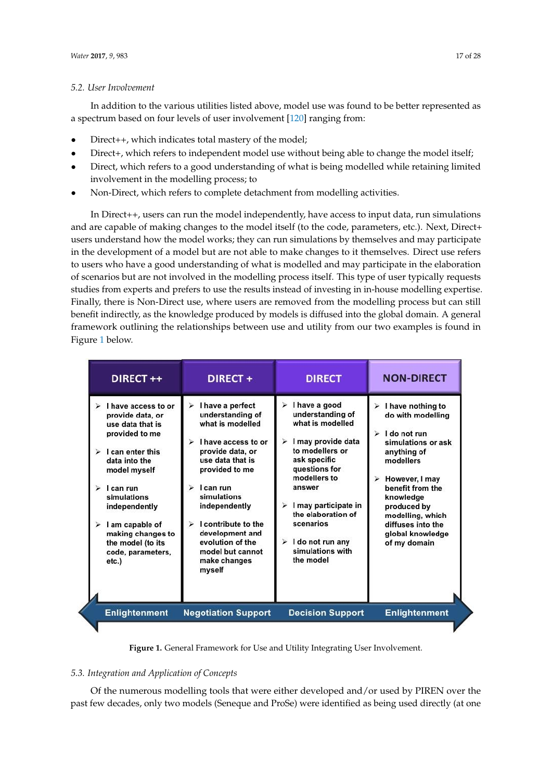#### *5.2. User Involvement 5.2. User Involvement*

In addition to the various utilities listed above, model use was found to be better represented as In addition to the various utilities model above, model use was found to be better represented as<br>a spectrum based on four levels of user involvement [\[120\]](#page-27-5) ranging from: a spectrum based on four levels of user involvement [120] ranging from:

- Direct++, which indicates total mastery of the model; Direct++, which indicates total mastery of the model;
- Direct+, which refers to independent model use without being able to change the model itself; Direct+, which refers to independent model use without being able to change the model itself;
- Direct, which refers to a good understanding of what is being modelled while retaining limited Direct, which refers to a good understanding of what is being modelled while retaining limited involvement in the modelling process; to involvement in the modelling process; to
- Non-Direct, which refers to complete detachment from modelling activities. Non-Direct, which refers to complete detachment from modelling activities.

In Direct++, users can run the model independently, have access to input data, run simulations In Direct++, users can run the model independently, have access to input data, run simulations and are capable of making changes to the model itself (to the code, parameters, etc.). Next, Direct+ and are capable of making changes to the model itself (to the code, parameters, etc.). Next, Direct+ users understand how the model works; they can run simulations by themselves and may participate in the development of a model but are not able to make changes to it themselves. Direct use refers to users who have a good understanding of what is modelled and may participate in the elaboration of scenarios but are not involved in the modelling process itself. This type of user typically requests studies from experts and prefers to use the results instead of investing in in-house modelling expertise. Finally, there is Non-Direct use, where users are removed from the modelling process but can still benefit indirectly, as the knowledge produced by models is diffused into the global domain. A general framework outlining the relationships between use and utility from our two examples is found in Figure [1](#page-16-0) below.

<span id="page-16-0"></span>

| <b>DIRECT ++</b>                                                                                                                                                                                                                                                                                | <b>DIRECT+</b>                                                                                                                                                                                                                                                                                               | <b>DIRECT</b>                                                                                                                                                                                                                                                                              | <b>NON-DIRECT</b>                                                                                                                                                                                                                                                                             |
|-------------------------------------------------------------------------------------------------------------------------------------------------------------------------------------------------------------------------------------------------------------------------------------------------|--------------------------------------------------------------------------------------------------------------------------------------------------------------------------------------------------------------------------------------------------------------------------------------------------------------|--------------------------------------------------------------------------------------------------------------------------------------------------------------------------------------------------------------------------------------------------------------------------------------------|-----------------------------------------------------------------------------------------------------------------------------------------------------------------------------------------------------------------------------------------------------------------------------------------------|
| I have access to or<br>↘<br>provide data, or<br>use data that is<br>provided to me<br>$\geq$ 1 can enter this<br>data into the<br>model myself<br>I can run<br>⋗<br>simulations<br>independently<br>I am capable of<br>➤<br>making changes to<br>the model (to its<br>code, parameters.<br>etc. | I have a perfect<br>understanding of<br>what is modelled<br>I have access to or<br>provide data, or<br>use data that is<br>provided to me<br>I can run<br>⋗<br>simulations<br>independently<br>I contribute to the<br>↘<br>development and<br>evolution of the<br>model but cannot<br>make changes<br>myself | I have a good<br>understanding of<br>what is modelled<br>I may provide data<br>to modellers or<br>ask specific<br>questions for<br>modellers to<br>answer<br>I may participate in<br>the elaboration of<br>scenarios<br>$\triangleright$ I do not run any<br>simulations with<br>the model | $\triangleright$ I have nothing to<br>do with modelling<br>$\checkmark$<br>I do not run<br>simulations or ask<br>anything of<br>modellers<br>However, I may<br>⋗<br>benefit from the<br>knowledge<br>produced by<br>modelling, which<br>diffuses into the<br>global knowledge<br>of my domain |
| <b>Enlightenment</b>                                                                                                                                                                                                                                                                            | <b>Negotiation Support</b>                                                                                                                                                                                                                                                                                   | <b>Decision Support</b>                                                                                                                                                                                                                                                                    | <b>Enlightenment</b>                                                                                                                                                                                                                                                                          |

**Figure 1.** General Framework for Use and Utility Integrating User Involvement. **Figure 1.** General Framework for Use and Utility Integrating User Involvement.

# *5.3. Integration and Application of Concepts 5.3. Integration and Application of Concepts*

Of the numerous modelling tools that were either developed and/or used by PIREN over the Of the numerous modelling tools that were either developed and/or used by PIREN over the past few decades, only two models (Seneque and ProSe) were identified as being used directly (at past few decades, only two models (Seneque and ProSe) were identified as being used directly (at one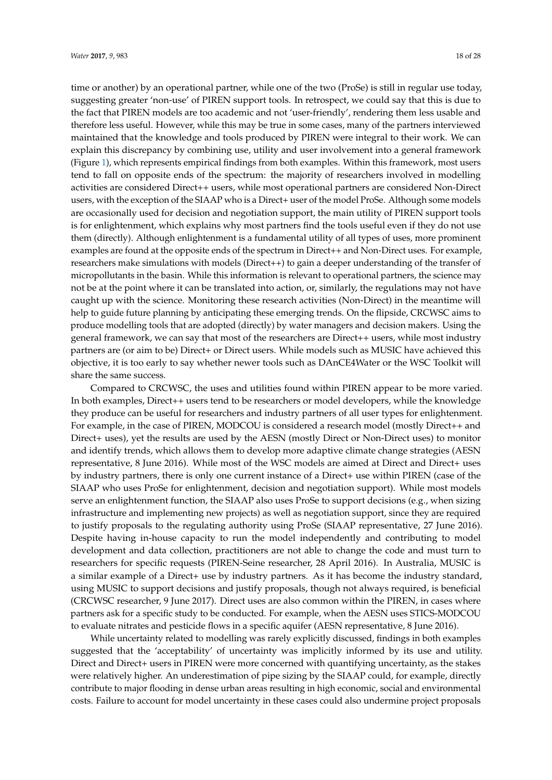time or another) by an operational partner, while one of the two (ProSe) is still in regular use today, suggesting greater 'non-use' of PIREN support tools. In retrospect, we could say that this is due to the fact that PIREN models are too academic and not 'user-friendly', rendering them less usable and therefore less useful. However, while this may be true in some cases, many of the partners interviewed maintained that the knowledge and tools produced by PIREN were integral to their work. We can explain this discrepancy by combining use, utility and user involvement into a general framework (Figure [1\)](#page-16-0), which represents empirical findings from both examples. Within this framework, most users tend to fall on opposite ends of the spectrum: the majority of researchers involved in modelling activities are considered Direct++ users, while most operational partners are considered Non-Direct users, with the exception of the SIAAP who is a Direct+ user of the model ProSe. Although some models are occasionally used for decision and negotiation support, the main utility of PIREN support tools is for enlightenment, which explains why most partners find the tools useful even if they do not use them (directly). Although enlightenment is a fundamental utility of all types of uses, more prominent examples are found at the opposite ends of the spectrum in Direct++ and Non-Direct uses. For example, researchers make simulations with models (Direct++) to gain a deeper understanding of the transfer of micropollutants in the basin. While this information is relevant to operational partners, the science may not be at the point where it can be translated into action, or, similarly, the regulations may not have caught up with the science. Monitoring these research activities (Non-Direct) in the meantime will help to guide future planning by anticipating these emerging trends. On the flipside, CRCWSC aims to produce modelling tools that are adopted (directly) by water managers and decision makers. Using the general framework, we can say that most of the researchers are Direct++ users, while most industry partners are (or aim to be) Direct+ or Direct users. While models such as MUSIC have achieved this objective, it is too early to say whether newer tools such as DAnCE4Water or the WSC Toolkit will share the same success.

Compared to CRCWSC, the uses and utilities found within PIREN appear to be more varied. In both examples, Direct++ users tend to be researchers or model developers, while the knowledge they produce can be useful for researchers and industry partners of all user types for enlightenment. For example, in the case of PIREN, MODCOU is considered a research model (mostly Direct++ and Direct+ uses), yet the results are used by the AESN (mostly Direct or Non-Direct uses) to monitor and identify trends, which allows them to develop more adaptive climate change strategies (AESN representative, 8 June 2016). While most of the WSC models are aimed at Direct and Direct+ uses by industry partners, there is only one current instance of a Direct+ use within PIREN (case of the SIAAP who uses ProSe for enlightenment, decision and negotiation support). While most models serve an enlightenment function, the SIAAP also uses ProSe to support decisions (e.g., when sizing infrastructure and implementing new projects) as well as negotiation support, since they are required to justify proposals to the regulating authority using ProSe (SIAAP representative, 27 June 2016). Despite having in-house capacity to run the model independently and contributing to model development and data collection, practitioners are not able to change the code and must turn to researchers for specific requests (PIREN-Seine researcher, 28 April 2016). In Australia, MUSIC is a similar example of a Direct+ use by industry partners. As it has become the industry standard, using MUSIC to support decisions and justify proposals, though not always required, is beneficial (CRCWSC researcher, 9 June 2017). Direct uses are also common within the PIREN, in cases where partners ask for a specific study to be conducted. For example, when the AESN uses STICS-MODCOU to evaluate nitrates and pesticide flows in a specific aquifer (AESN representative, 8 June 2016).

While uncertainty related to modelling was rarely explicitly discussed, findings in both examples suggested that the 'acceptability' of uncertainty was implicitly informed by its use and utility. Direct and Direct+ users in PIREN were more concerned with quantifying uncertainty, as the stakes were relatively higher. An underestimation of pipe sizing by the SIAAP could, for example, directly contribute to major flooding in dense urban areas resulting in high economic, social and environmental costs. Failure to account for model uncertainty in these cases could also undermine project proposals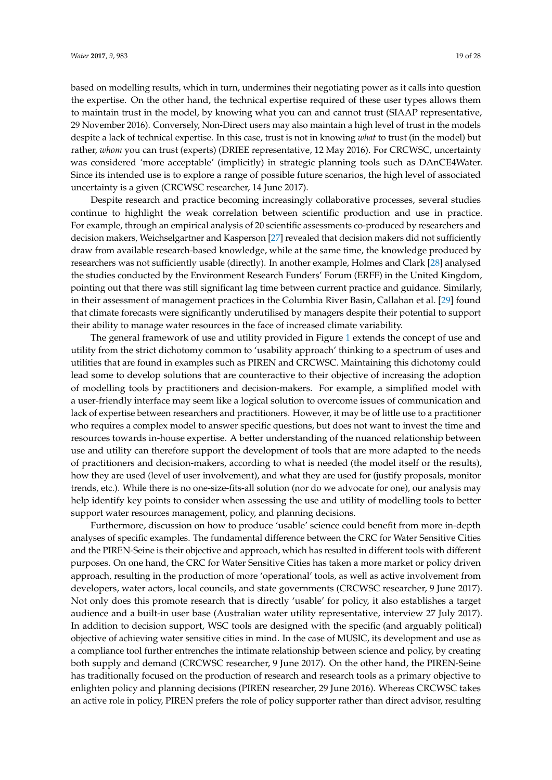based on modelling results, which in turn, undermines their negotiating power as it calls into question the expertise. On the other hand, the technical expertise required of these user types allows them to maintain trust in the model, by knowing what you can and cannot trust (SIAAP representative, 29 November 2016). Conversely, Non-Direct users may also maintain a high level of trust in the models despite a lack of technical expertise. In this case, trust is not in knowing *what* to trust (in the model) but rather, *whom* you can trust (experts) (DRIEE representative, 12 May 2016). For CRCWSC, uncertainty was considered 'more acceptable' (implicitly) in strategic planning tools such as DAnCE4Water. Since its intended use is to explore a range of possible future scenarios, the high level of associated uncertainty is a given (CRCWSC researcher, 14 June 2017).

Despite research and practice becoming increasingly collaborative processes, several studies continue to highlight the weak correlation between scientific production and use in practice. For example, through an empirical analysis of 20 scientific assessments co-produced by researchers and decision makers, Weichselgartner and Kasperson [\[27\]](#page-23-1) revealed that decision makers did not sufficiently draw from available research-based knowledge, while at the same time, the knowledge produced by researchers was not sufficiently usable (directly). In another example, Holmes and Clark [\[28\]](#page-23-19) analysed the studies conducted by the Environment Research Funders' Forum (ERFF) in the United Kingdom, pointing out that there was still significant lag time between current practice and guidance. Similarly, in their assessment of management practices in the Columbia River Basin, Callahan et al. [\[29\]](#page-23-2) found that climate forecasts were significantly underutilised by managers despite their potential to support their ability to manage water resources in the face of increased climate variability.

The general framework of use and utility provided in Figure [1](#page-16-0) extends the concept of use and utility from the strict dichotomy common to 'usability approach' thinking to a spectrum of uses and utilities that are found in examples such as PIREN and CRCWSC. Maintaining this dichotomy could lead some to develop solutions that are counteractive to their objective of increasing the adoption of modelling tools by practitioners and decision-makers. For example, a simplified model with a user-friendly interface may seem like a logical solution to overcome issues of communication and lack of expertise between researchers and practitioners. However, it may be of little use to a practitioner who requires a complex model to answer specific questions, but does not want to invest the time and resources towards in-house expertise. A better understanding of the nuanced relationship between use and utility can therefore support the development of tools that are more adapted to the needs of practitioners and decision-makers, according to what is needed (the model itself or the results), how they are used (level of user involvement), and what they are used for (justify proposals, monitor trends, etc.). While there is no one-size-fits-all solution (nor do we advocate for one), our analysis may help identify key points to consider when assessing the use and utility of modelling tools to better support water resources management, policy, and planning decisions.

Furthermore, discussion on how to produce 'usable' science could benefit from more in-depth analyses of specific examples. The fundamental difference between the CRC for Water Sensitive Cities and the PIREN-Seine is their objective and approach, which has resulted in different tools with different purposes. On one hand, the CRC for Water Sensitive Cities has taken a more market or policy driven approach, resulting in the production of more 'operational' tools, as well as active involvement from developers, water actors, local councils, and state governments (CRCWSC researcher, 9 June 2017). Not only does this promote research that is directly 'usable' for policy, it also establishes a target audience and a built-in user base (Australian water utility representative, interview 27 July 2017). In addition to decision support, WSC tools are designed with the specific (and arguably political) objective of achieving water sensitive cities in mind. In the case of MUSIC, its development and use as a compliance tool further entrenches the intimate relationship between science and policy, by creating both supply and demand (CRCWSC researcher, 9 June 2017). On the other hand, the PIREN-Seine has traditionally focused on the production of research and research tools as a primary objective to enlighten policy and planning decisions (PIREN researcher, 29 June 2016). Whereas CRCWSC takes an active role in policy, PIREN prefers the role of policy supporter rather than direct advisor, resulting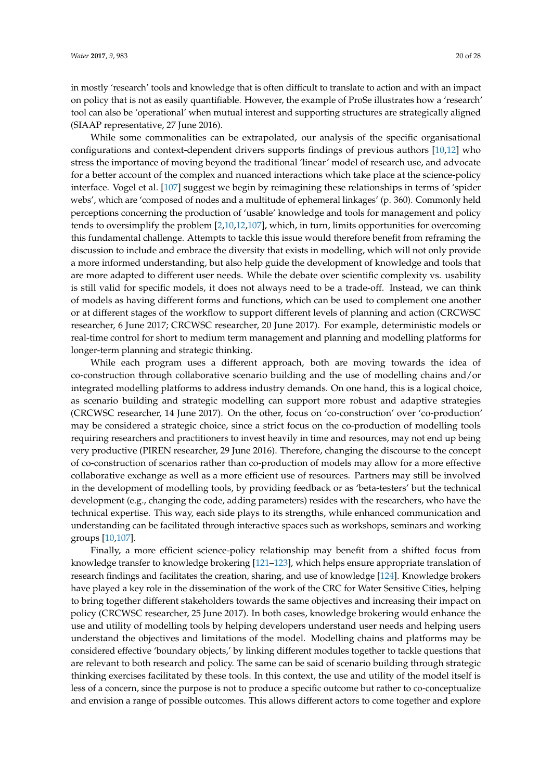in mostly 'research' tools and knowledge that is often difficult to translate to action and with an impact on policy that is not as easily quantifiable. However, the example of ProSe illustrates how a 'research' tool can also be 'operational' when mutual interest and supporting structures are strategically aligned (SIAAP representative, 27 June 2016).

While some commonalities can be extrapolated, our analysis of the specific organisational configurations and context-dependent drivers supports findings of previous authors [\[10](#page-22-6)[,12\]](#page-22-8) who stress the importance of moving beyond the traditional 'linear' model of research use, and advocate for a better account of the complex and nuanced interactions which take place at the science-policy interface. Vogel et al. [\[107\]](#page-26-13) suggest we begin by reimagining these relationships in terms of 'spider webs', which are 'composed of nodes and a multitude of ephemeral linkages' (p. 360). Commonly held perceptions concerning the production of 'usable' knowledge and tools for management and policy tends to oversimplify the problem [\[2,](#page-22-1)[10,](#page-22-6)[12,](#page-22-8)[107\]](#page-26-13), which, in turn, limits opportunities for overcoming this fundamental challenge. Attempts to tackle this issue would therefore benefit from reframing the discussion to include and embrace the diversity that exists in modelling, which will not only provide a more informed understanding, but also help guide the development of knowledge and tools that are more adapted to different user needs. While the debate over scientific complexity vs. usability is still valid for specific models, it does not always need to be a trade-off. Instead, we can think of models as having different forms and functions, which can be used to complement one another or at different stages of the workflow to support different levels of planning and action (CRCWSC researcher, 6 June 2017; CRCWSC researcher, 20 June 2017). For example, deterministic models or real-time control for short to medium term management and planning and modelling platforms for longer-term planning and strategic thinking.

While each program uses a different approach, both are moving towards the idea of co-construction through collaborative scenario building and the use of modelling chains and/or integrated modelling platforms to address industry demands. On one hand, this is a logical choice, as scenario building and strategic modelling can support more robust and adaptive strategies (CRCWSC researcher, 14 June 2017). On the other, focus on 'co-construction' over 'co-production' may be considered a strategic choice, since a strict focus on the co-production of modelling tools requiring researchers and practitioners to invest heavily in time and resources, may not end up being very productive (PIREN researcher, 29 June 2016). Therefore, changing the discourse to the concept of co-construction of scenarios rather than co-production of models may allow for a more effective collaborative exchange as well as a more efficient use of resources. Partners may still be involved in the development of modelling tools, by providing feedback or as 'beta-testers' but the technical development (e.g., changing the code, adding parameters) resides with the researchers, who have the technical expertise. This way, each side plays to its strengths, while enhanced communication and understanding can be facilitated through interactive spaces such as workshops, seminars and working groups [\[10](#page-22-6)[,107\]](#page-26-13).

Finally, a more efficient science-policy relationship may benefit from a shifted focus from knowledge transfer to knowledge brokering [\[121–](#page-27-6)[123\]](#page-27-7), which helps ensure appropriate translation of research findings and facilitates the creation, sharing, and use of knowledge [\[124\]](#page-27-8). Knowledge brokers have played a key role in the dissemination of the work of the CRC for Water Sensitive Cities, helping to bring together different stakeholders towards the same objectives and increasing their impact on policy (CRCWSC researcher, 25 June 2017). In both cases, knowledge brokering would enhance the use and utility of modelling tools by helping developers understand user needs and helping users understand the objectives and limitations of the model. Modelling chains and platforms may be considered effective 'boundary objects,' by linking different modules together to tackle questions that are relevant to both research and policy. The same can be said of scenario building through strategic thinking exercises facilitated by these tools. In this context, the use and utility of the model itself is less of a concern, since the purpose is not to produce a specific outcome but rather to co-conceptualize and envision a range of possible outcomes. This allows different actors to come together and explore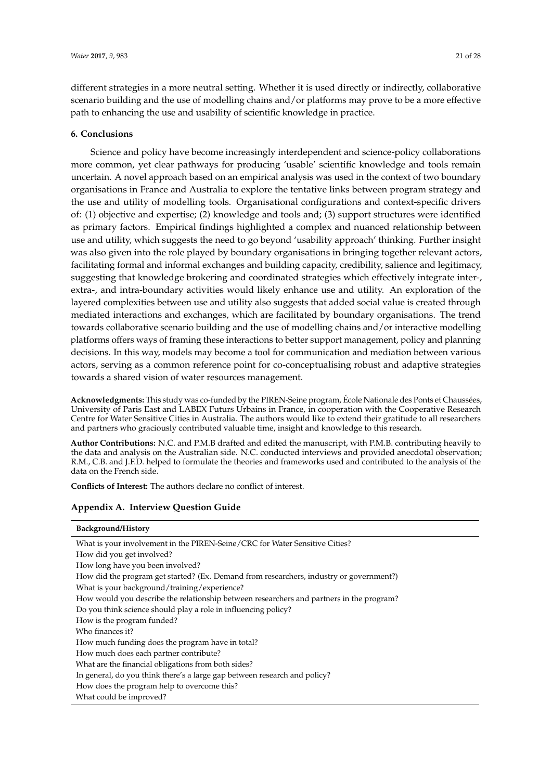different strategies in a more neutral setting. Whether it is used directly or indirectly, collaborative scenario building and the use of modelling chains and/or platforms may prove to be a more effective path to enhancing the use and usability of scientific knowledge in practice.

#### **6. Conclusions**

Science and policy have become increasingly interdependent and science-policy collaborations more common, yet clear pathways for producing 'usable' scientific knowledge and tools remain uncertain. A novel approach based on an empirical analysis was used in the context of two boundary organisations in France and Australia to explore the tentative links between program strategy and the use and utility of modelling tools. Organisational configurations and context-specific drivers of: (1) objective and expertise; (2) knowledge and tools and; (3) support structures were identified as primary factors. Empirical findings highlighted a complex and nuanced relationship between use and utility, which suggests the need to go beyond 'usability approach' thinking. Further insight was also given into the role played by boundary organisations in bringing together relevant actors, facilitating formal and informal exchanges and building capacity, credibility, salience and legitimacy, suggesting that knowledge brokering and coordinated strategies which effectively integrate inter-, extra-, and intra-boundary activities would likely enhance use and utility. An exploration of the layered complexities between use and utility also suggests that added social value is created through mediated interactions and exchanges, which are facilitated by boundary organisations. The trend towards collaborative scenario building and the use of modelling chains and/or interactive modelling platforms offers ways of framing these interactions to better support management, policy and planning decisions. In this way, models may become a tool for communication and mediation between various actors, serving as a common reference point for co-conceptualising robust and adaptive strategies towards a shared vision of water resources management.

**Acknowledgments:** This study was co-funded by the PIREN-Seine program, École Nationale des Ponts et Chaussées, University of Paris East and LABEX Futurs Urbains in France, in cooperation with the Cooperative Research Centre for Water Sensitive Cities in Australia. The authors would like to extend their gratitude to all researchers and partners who graciously contributed valuable time, insight and knowledge to this research.

**Author Contributions:** N.C. and P.M.B drafted and edited the manuscript, with P.M.B. contributing heavily to the data and analysis on the Australian side. N.C. conducted interviews and provided anecdotal observation; R.M., C.B. and J.F.D. helped to formulate the theories and frameworks used and contributed to the analysis of the data on the French side.

**Conflicts of Interest:** The authors declare no conflict of interest.

# **Appendix A. Interview Question Guide**

| Background/History |  |
|--------------------|--|
|--------------------|--|

| What is your involvement in the PIREN-Seine/CRC for Water Sensitive Cities?              |
|------------------------------------------------------------------------------------------|
| How did you get involved?                                                                |
| How long have you been involved?                                                         |
| How did the program get started? (Ex. Demand from researchers, industry or government?)  |
| What is your background/training/experience?                                             |
| How would you describe the relationship between researchers and partners in the program? |
| Do you think science should play a role in influencing policy?                           |
| How is the program funded?                                                               |
| Who finances it?                                                                         |
| How much funding does the program have in total?                                         |
| How much does each partner contribute?                                                   |
| What are the financial obligations from both sides?                                      |
| In general, do you think there's a large gap between research and policy?                |
| How does the program help to overcome this?                                              |
| What could be improved?                                                                  |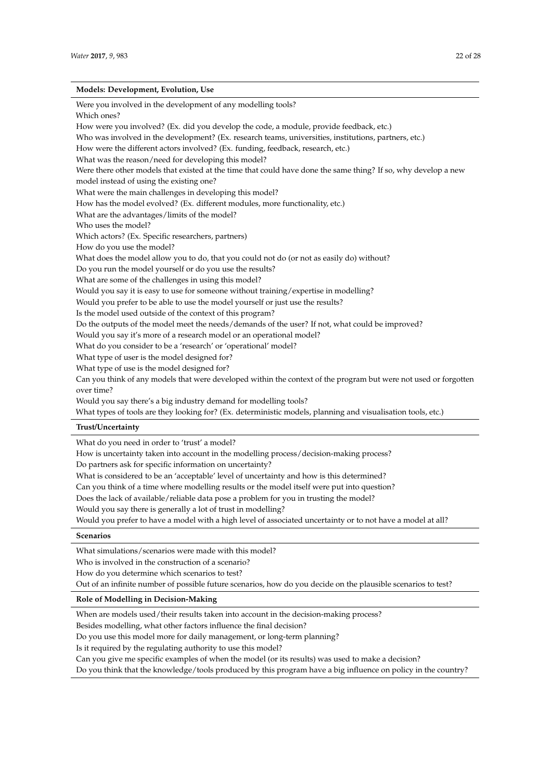#### **Models: Development, Evolution, Use**

Were you involved in the development of any modelling tools? Which ones? How were you involved? (Ex. did you develop the code, a module, provide feedback, etc.) Who was involved in the development? (Ex. research teams, universities, institutions, partners, etc.) How were the different actors involved? (Ex. funding, feedback, research, etc.) What was the reason/need for developing this model? Were there other models that existed at the time that could have done the same thing? If so, why develop a new model instead of using the existing one? What were the main challenges in developing this model? How has the model evolved? (Ex. different modules, more functionality, etc.) What are the advantages/limits of the model? Who uses the model? Which actors? (Ex. Specific researchers, partners) How do you use the model? What does the model allow you to do, that you could not do (or not as easily do) without? Do you run the model yourself or do you use the results? What are some of the challenges in using this model? Would you say it is easy to use for someone without training/expertise in modelling? Would you prefer to be able to use the model yourself or just use the results? Is the model used outside of the context of this program? Do the outputs of the model meet the needs/demands of the user? If not, what could be improved? Would you say it's more of a research model or an operational model? What do you consider to be a 'research' or 'operational' model? What type of user is the model designed for? What type of use is the model designed for? Can you think of any models that were developed within the context of the program but were not used or forgotten over time? Would you say there's a big industry demand for modelling tools? What types of tools are they looking for? (Ex. deterministic models, planning and visualisation tools, etc.) **Trust/Uncertainty** What do you need in order to 'trust' a model?

How is uncertainty taken into account in the modelling process/decision-making process?

Do partners ask for specific information on uncertainty?

What is considered to be an 'acceptable' level of uncertainty and how is this determined?

Can you think of a time where modelling results or the model itself were put into question?

Does the lack of available/reliable data pose a problem for you in trusting the model?

Would you say there is generally a lot of trust in modelling?

Would you prefer to have a model with a high level of associated uncertainty or to not have a model at all?

# **Scenarios**

What simulations/scenarios were made with this model?

Who is involved in the construction of a scenario?

How do you determine which scenarios to test?

Out of an infinite number of possible future scenarios, how do you decide on the plausible scenarios to test?

#### **Role of Modelling in Decision-Making**

When are models used/their results taken into account in the decision-making process?

Besides modelling, what other factors influence the final decision?

Do you use this model more for daily management, or long-term planning?

Is it required by the regulating authority to use this model?

Can you give me specific examples of when the model (or its results) was used to make a decision?

Do you think that the knowledge/tools produced by this program have a big influence on policy in the country?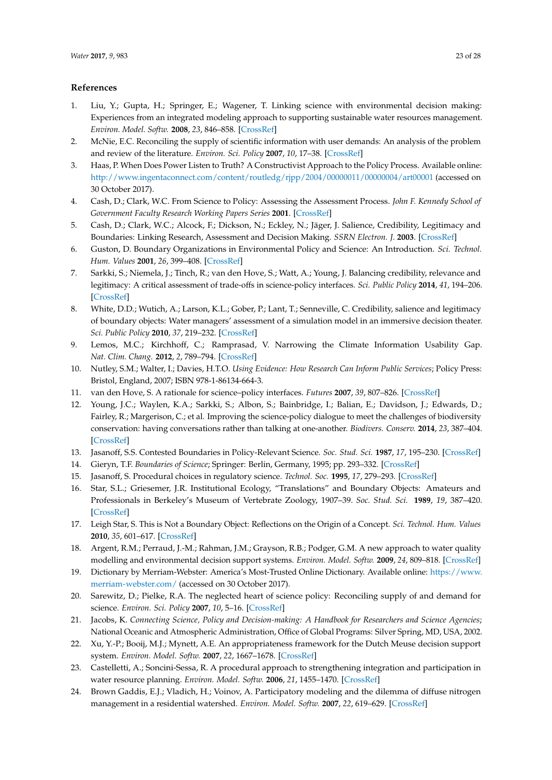# **References**

- <span id="page-22-0"></span>1. Liu, Y.; Gupta, H.; Springer, E.; Wagener, T. Linking science with environmental decision making: Experiences from an integrated modeling approach to supporting sustainable water resources management. *Environ. Model. Softw.* **2008**, *23*, 846–858. [\[CrossRef\]](http://dx.doi.org/10.1016/j.envsoft.2007.10.007)
- <span id="page-22-1"></span>2. McNie, E.C. Reconciling the supply of scientific information with user demands: An analysis of the problem and review of the literature. *Environ. Sci. Policy* **2007**, *10*, 17–38. [\[CrossRef\]](http://dx.doi.org/10.1016/j.envsci.2006.10.004)
- <span id="page-22-2"></span>3. Haas, P. When Does Power Listen to Truth? A Constructivist Approach to the Policy Process. Available online: <http://www.ingentaconnect.com/content/routledg/rjpp/2004/00000011/00000004/art00001> (accessed on 30 October 2017).
- <span id="page-22-3"></span>4. Cash, D.; Clark, W.C. From Science to Policy: Assessing the Assessment Process. *John F. Kennedy School of Government Faculty Research Working Papers Series* **2001**. [\[CrossRef\]](http://dx.doi.org/10.2139/ssrn.295570)
- <span id="page-22-12"></span>5. Cash, D.; Clark, W.C.; Alcock, F.; Dickson, N.; Eckley, N.; Jäger, J. Salience, Credibility, Legitimacy and Boundaries: Linking Research, Assessment and Decision Making. *SSRN Electron. J.* **2003**. [\[CrossRef\]](http://dx.doi.org/10.2139/ssrn.372280)
- <span id="page-22-9"></span>6. Guston, D. Boundary Organizations in Environmental Policy and Science: An Introduction. *Sci. Technol. Hum. Values* **2001**, *26*, 399–408. [\[CrossRef\]](http://dx.doi.org/10.1177/016224390102600401)
- 7. Sarkki, S.; Niemela, J.; Tinch, R.; van den Hove, S.; Watt, A.; Young, J. Balancing credibility, relevance and legitimacy: A critical assessment of trade-offs in science-policy interfaces. *Sci. Public Policy* **2014**, *41*, 194–206. [\[CrossRef\]](http://dx.doi.org/10.1093/scipol/sct046)
- <span id="page-22-4"></span>8. White, D.D.; Wutich, A.; Larson, K.L.; Gober, P.; Lant, T.; Senneville, C. Credibility, salience and legitimacy of boundary objects: Water managers' assessment of a simulation model in an immersive decision theater. *Sci. Public Policy* **2010**, *37*, 219–232. [\[CrossRef\]](http://dx.doi.org/10.3152/030234210X497726)
- <span id="page-22-5"></span>9. Lemos, M.C.; Kirchhoff, C.; Ramprasad, V. Narrowing the Climate Information Usability Gap. *Nat. Clim. Chang.* **2012**, *2*, 789–794. [\[CrossRef\]](http://dx.doi.org/10.1038/nclimate1614)
- <span id="page-22-6"></span>10. Nutley, S.M.; Walter, I.; Davies, H.T.O. *Using Evidence: How Research Can Inform Public Services*; Policy Press: Bristol, England, 2007; ISBN 978-1-86134-664-3.
- <span id="page-22-7"></span>11. van den Hove, S. A rationale for science–policy interfaces. *Futures* **2007**, *39*, 807–826. [\[CrossRef\]](http://dx.doi.org/10.1016/j.futures.2006.12.004)
- <span id="page-22-8"></span>12. Young, J.C.; Waylen, K.A.; Sarkki, S.; Albon, S.; Bainbridge, I.; Balian, E.; Davidson, J.; Edwards, D.; Fairley, R.; Margerison, C.; et al. Improving the science-policy dialogue to meet the challenges of biodiversity conservation: having conversations rather than talking at one-another. *Biodivers. Conserv.* **2014**, *23*, 387–404. [\[CrossRef\]](http://dx.doi.org/10.1007/s10531-013-0607-0)
- <span id="page-22-10"></span>13. Jasanoff, S.S. Contested Boundaries in Policy-Relevant Science. *Soc. Stud. Sci.* **1987**, *17*, 195–230. [\[CrossRef\]](http://dx.doi.org/10.1177/030631287017002001)
- <span id="page-22-11"></span>14. Gieryn, T.F. *Boundaries of Science*; Springer: Berlin, Germany, 1995; pp. 293–332. [\[CrossRef\]](http://dx.doi.org/10.1007/978-1-349-25249-7_12)
- <span id="page-22-13"></span>15. Jasanoff, S. Procedural choices in regulatory science. *Technol. Soc.* **1995**, *17*, 279–293. [\[CrossRef\]](http://dx.doi.org/10.1016/0160-791X(95)00011-F)
- <span id="page-22-14"></span>16. Star, S.L.; Griesemer, J.R. Institutional Ecology, "Translations" and Boundary Objects: Amateurs and Professionals in Berkeley's Museum of Vertebrate Zoology, 1907–39. *Soc. Stud. Sci.* **1989**, *19*, 387–420. [\[CrossRef\]](http://dx.doi.org/10.1177/030631289019003001)
- <span id="page-22-15"></span>17. Leigh Star, S. This is Not a Boundary Object: Reflections on the Origin of a Concept. *Sci. Technol. Hum. Values* **2010**, *35*, 601–617. [\[CrossRef\]](http://dx.doi.org/10.1177/0162243910377624)
- <span id="page-22-16"></span>18. Argent, R.M.; Perraud, J.-M.; Rahman, J.M.; Grayson, R.B.; Podger, G.M. A new approach to water quality modelling and environmental decision support systems. *Environ. Model. Softw.* **2009**, *24*, 809–818. [\[CrossRef\]](http://dx.doi.org/10.1016/j.envsoft.2008.12.010)
- <span id="page-22-17"></span>19. Dictionary by Merriam-Webster: America's Most-Trusted Online Dictionary. Available online: [https://www.](https://www.merriam-webster.com/) [merriam-webster.com/](https://www.merriam-webster.com/) (accessed on 30 October 2017).
- <span id="page-22-18"></span>20. Sarewitz, D.; Pielke, R.A. The neglected heart of science policy: Reconciling supply of and demand for science. *Environ. Sci. Policy* **2007**, *10*, 5–16. [\[CrossRef\]](http://dx.doi.org/10.1016/j.envsci.2006.10.001)
- 21. Jacobs, K. *Connecting Science, Policy and Decision-making: A Handbook for Researchers and Science Agencies*; National Oceanic and Atmospheric Administration, Office of Global Programs: Silver Spring, MD, USA, 2002.
- 22. Xu, Y.-P.; Booij, M.J.; Mynett, A.E. An appropriateness framework for the Dutch Meuse decision support system. *Environ. Model. Softw.* **2007**, *22*, 1667–1678. [\[CrossRef\]](http://dx.doi.org/10.1016/j.envsoft.2007.01.002)
- 23. Castelletti, A.; Soncini-Sessa, R. A procedural approach to strengthening integration and participation in water resource planning. *Environ. Model. Softw.* **2006**, *21*, 1455–1470. [\[CrossRef\]](http://dx.doi.org/10.1016/j.envsoft.2005.07.013)
- 24. Brown Gaddis, E.J.; Vladich, H.; Voinov, A. Participatory modeling and the dilemma of diffuse nitrogen management in a residential watershed. *Environ. Model. Softw.* **2007**, *22*, 619–629. [\[CrossRef\]](http://dx.doi.org/10.1016/j.envsoft.2005.12.027)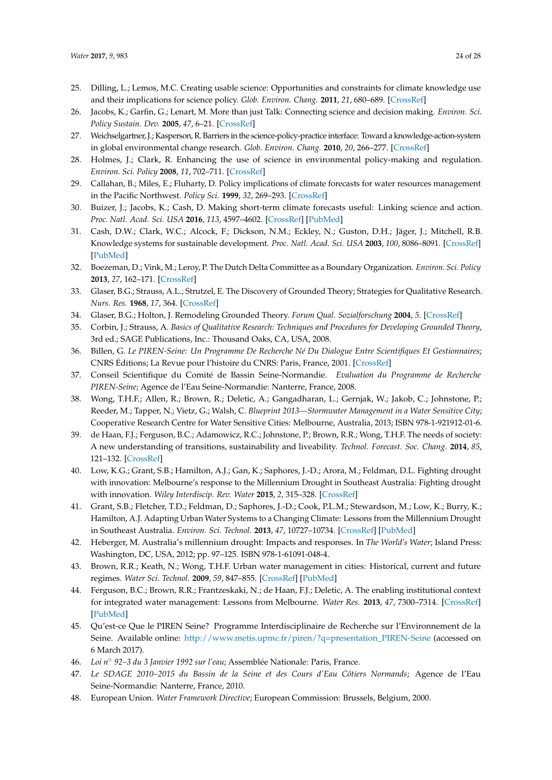- 25. Dilling, L.; Lemos, M.C. Creating usable science: Opportunities and constraints for climate knowledge use and their implications for science policy. *Glob. Environ. Chang.* **2011**, *21*, 680–689. [\[CrossRef\]](http://dx.doi.org/10.1016/j.gloenvcha.2010.11.006)
- <span id="page-23-0"></span>26. Jacobs, K.; Garfin, G.; Lenart, M. More than just Talk: Connecting science and decision making. *Environ. Sci. Policy Sustain. Dev.* **2005**, *47*, 6–21. [\[CrossRef\]](http://dx.doi.org/10.3200/ENVT.47.9.6-21)
- <span id="page-23-1"></span>27. Weichselgartner, J.; Kasperson, R. Barriers in the science-policy-practice interface: Toward a knowledge-action-system in global environmental change research. *Glob. Environ. Chang.* **2010**, *20*, 266–277. [\[CrossRef\]](http://dx.doi.org/10.1016/j.gloenvcha.2009.11.006)
- <span id="page-23-19"></span>28. Holmes, J.; Clark, R. Enhancing the use of science in environmental policy-making and regulation. *Environ. Sci. Policy* **2008**, *11*, 702–711. [\[CrossRef\]](http://dx.doi.org/10.1016/j.envsci.2008.08.004)
- <span id="page-23-2"></span>29. Callahan, B.; Miles, E.; Fluharty, D. Policy implications of climate forecasts for water resources management in the Pacific Northwest. *Policy Sci.* **1999**, *32*, 269–293. [\[CrossRef\]](http://dx.doi.org/10.1023/A:1004604805647)
- <span id="page-23-3"></span>30. Buizer, J.; Jacobs, K.; Cash, D. Making short-term climate forecasts useful: Linking science and action. *Proc. Natl. Acad. Sci. USA* **2016**, *113*, 4597–4602. [\[CrossRef\]](http://dx.doi.org/10.1073/pnas.0900518107) [\[PubMed\]](http://www.ncbi.nlm.nih.gov/pubmed/20133668)
- 31. Cash, D.W.; Clark, W.C.; Alcock, F.; Dickson, N.M.; Eckley, N.; Guston, D.H.; Jäger, J.; Mitchell, R.B. Knowledge systems for sustainable development. *Proc. Natl. Acad. Sci. USA* **2003**, *100*, 8086–8091. [\[CrossRef\]](http://dx.doi.org/10.1073/pnas.1231332100) [\[PubMed\]](http://www.ncbi.nlm.nih.gov/pubmed/12777623)
- <span id="page-23-4"></span>32. Boezeman, D.; Vink, M.; Leroy, P. The Dutch Delta Committee as a Boundary Organization. *Environ. Sci. Policy* **2013**, *27*, 162–171. [\[CrossRef\]](http://dx.doi.org/10.1016/j.envsci.2012.12.016)
- <span id="page-23-5"></span>33. Glaser, B.G.; Strauss, A.L.; Strutzel, E. The Discovery of Grounded Theory; Strategies for Qualitative Research. *Nurs. Res.* **1968**, *17*, 364. [\[CrossRef\]](http://dx.doi.org/10.1097/00006199-196807000-00014)
- 34. Glaser, B.G.; Holton, J. Remodeling Grounded Theory. *Forum Qual. Sozialforschung* **2004**, *5*. [\[CrossRef\]](http://dx.doi.org/10.17169/fqs-5.2.607)
- <span id="page-23-6"></span>35. Corbin, J.; Strauss, A. *Basics of Qualitative Research: Techniques and Procedures for Developing Grounded Theory*, 3rd ed.; SAGE Publications, Inc.: Thousand Oaks, CA, USA, 2008.
- <span id="page-23-7"></span>36. Billen, G. *Le PIREN-Seine: Un Programme De Recherche Né Du Dialogue Entre Scientifiques Et Gestionnaires*; CNRS Éditions; La Revue pour l'histoire du CNRS: Paris, France, 2001. [\[CrossRef\]](http://dx.doi.org/10.4000/histoire-cnrs.3182)
- <span id="page-23-8"></span>37. Conseil Scientifique du Comité de Bassin Seine-Normandie. *Evaluation du Programme de Recherche PIREN-Seine*; Agence de l'Eau Seine-Normandie: Nanterre, France, 2008.
- <span id="page-23-9"></span>38. Wong, T.H.F.; Allen, R.; Brown, R.; Deletic, A.; Gangadharan, L.; Gernjak, W.; Jakob, C.; Johnstone, P.; Reeder, M.; Tapper, N.; Vietz, G.; Walsh, C. *Blueprint 2013—Stormwater Management in a Water Sensitive City*; Cooperative Research Centre for Water Sensitive Cities: Melbourne, Australia, 2013; ISBN 978-1-921912-01-6.
- <span id="page-23-10"></span>39. de Haan, F.J.; Ferguson, B.C.; Adamowicz, R.C.; Johnstone, P.; Brown, R.R.; Wong, T.H.F. The needs of society: A new understanding of transitions, sustainability and liveability. *Technol. Forecast. Soc. Chang.* **2014**, *85*, 121–132. [\[CrossRef\]](http://dx.doi.org/10.1016/j.techfore.2013.09.005)
- <span id="page-23-11"></span>40. Low, K.G.; Grant, S.B.; Hamilton, A.J.; Gan, K.; Saphores, J.-D.; Arora, M.; Feldman, D.L. Fighting drought with innovation: Melbourne's response to the Millennium Drought in Southeast Australia: Fighting drought with innovation. *Wiley Interdiscip. Rev. Water* **2015**, *2*, 315–328. [\[CrossRef\]](http://dx.doi.org/10.1002/wat2.1087)
- 41. Grant, S.B.; Fletcher, T.D.; Feldman, D.; Saphores, J.-D.; Cook, P.L.M.; Stewardson, M.; Low, K.; Burry, K.; Hamilton, A.J. Adapting Urban Water Systems to a Changing Climate: Lessons from the Millennium Drought in Southeast Australia. *Environ. Sci. Technol.* **2013**, *47*, 10727–10734. [\[CrossRef\]](http://dx.doi.org/10.1021/es400618z) [\[PubMed\]](http://www.ncbi.nlm.nih.gov/pubmed/23641731)
- <span id="page-23-12"></span>42. Heberger, M. Australia's millennium drought: Impacts and responses. In *The World's Water*; Island Press: Washington, DC, USA, 2012; pp. 97–125. ISBN 978-1-61091-048-4.
- <span id="page-23-13"></span>43. Brown, R.R.; Keath, N.; Wong, T.H.F. Urban water management in cities: Historical, current and future regimes. *Water Sci. Technol.* **2009**, *59*, 847–855. [\[CrossRef\]](http://dx.doi.org/10.2166/wst.2009.029) [\[PubMed\]](http://www.ncbi.nlm.nih.gov/pubmed/19273883)
- <span id="page-23-14"></span>44. Ferguson, B.C.; Brown, R.R.; Frantzeskaki, N.; de Haan, F.J.; Deletic, A. The enabling institutional context for integrated water management: Lessons from Melbourne. *Water Res.* **2013**, *47*, 7300–7314. [\[CrossRef\]](http://dx.doi.org/10.1016/j.watres.2013.09.045) [\[PubMed\]](http://www.ncbi.nlm.nih.gov/pubmed/24148920)
- <span id="page-23-15"></span>45. Qu'est-ce Que le PIREN Seine? Programme Interdisciplinaire de Recherche sur l'Environnement de la Seine. Available online: [http://www.metis.upmc.fr/piren/?q=presentation\\_PIREN-Seine](http://www.metis.upmc.fr/piren/?q=presentation_PIREN-Seine) (accessed on 6 March 2017).
- <span id="page-23-16"></span>46. *Loi n*◦ *92–3 du 3 Janvier 1992 sur l'eau*; Assemblée Nationale: Paris, France.
- <span id="page-23-17"></span>47. *Le SDAGE 2010–2015 du Bassin de la Seine et des Cours d'Eau Côtiers Normands*; Agence de l'Eau Seine-Normandie: Nanterre, France, 2010.
- <span id="page-23-18"></span>48. European Union. *Water Framework Directive*; European Commission: Brussels, Belgium, 2000.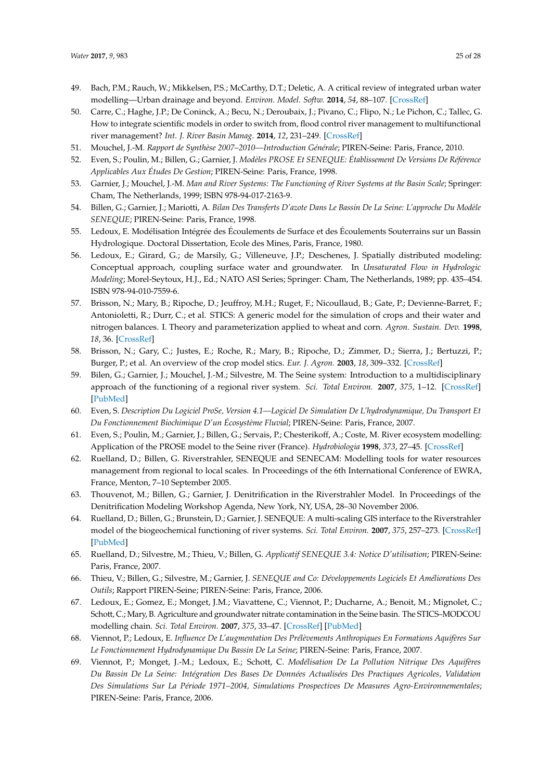- <span id="page-24-0"></span>49. Bach, P.M.; Rauch, W.; Mikkelsen, P.S.; McCarthy, D.T.; Deletic, A. A critical review of integrated urban water modelling—Urban drainage and beyond. *Environ. Model. Softw.* **2014**, *54*, 88–107. [\[CrossRef\]](http://dx.doi.org/10.1016/j.envsoft.2013.12.018)
- 50. Carre, C.; Haghe, J.P.; De Coninck, A.; Becu, N.; Deroubaix, J.; Pivano, C.; Flipo, N.; Le Pichon, C.; Tallec, G. How to integrate scientific models in order to switch from, flood control river management to multifunctional river management? *Int. J. River Basin Manag.* **2014**, *12*, 231–249. [\[CrossRef\]](http://dx.doi.org/10.1080/15715124.2014.885439)
- <span id="page-24-1"></span>51. Mouchel, J.-M. *Rapport de Synthèse 2007–2010—Introduction Générale*; PIREN-Seine: Paris, France, 2010.
- <span id="page-24-2"></span>52. Even, S.; Poulin, M.; Billen, G.; Garnier, J. *Modèles PROSE Et SENEQUE: Établissement De Versions De Référence Applicables Aux Études De Gestion*; PIREN-Seine: Paris, France, 1998.
- <span id="page-24-3"></span>53. Garnier, J.; Mouchel, J.-M. *Man and River Systems: The Functioning of River Systems at the Basin Scale*; Springer: Cham, The Netherlands, 1999; ISBN 978-94-017-2163-9.
- <span id="page-24-4"></span>54. Billen, G.; Garnier, J.; Mariotti, A. *Bilan Des Transferts D'azote Dans Le Bassin De La Seine: L'approche Du Modèle SENEQUE*; PIREN-Seine: Paris, France, 1998.
- <span id="page-24-5"></span>55. Ledoux, E. Modélisation Intégrée des Écoulements de Surface et des Écoulements Souterrains sur un Bassin Hydrologique. Doctoral Dissertation, Ecole des Mines, Paris, France, 1980.
- <span id="page-24-6"></span>56. Ledoux, E.; Girard, G.; de Marsily, G.; Villeneuve, J.P.; Deschenes, J. Spatially distributed modeling: Conceptual approach, coupling surface water and groundwater. In *Unsaturated Flow in Hydrologic Modeling*; Morel-Seytoux, H.J., Ed.; NATO ASI Series; Springer: Cham, The Netherlands, 1989; pp. 435–454. ISBN 978-94-010-7559-6.
- <span id="page-24-7"></span>57. Brisson, N.; Mary, B.; Ripoche, D.; Jeuffroy, M.H.; Ruget, F.; Nicoullaud, B.; Gate, P.; Devienne-Barret, F.; Antonioletti, R.; Durr, C.; et al. STICS: A generic model for the simulation of crops and their water and nitrogen balances. I. Theory and parameterization applied to wheat and corn. *Agron. Sustain. Dev.* **1998**, *18*, 36. [\[CrossRef\]](http://dx.doi.org/10.1051/agro:19980501)
- <span id="page-24-8"></span>58. Brisson, N.; Gary, C.; Justes, E.; Roche, R.; Mary, B.; Ripoche, D.; Zimmer, D.; Sierra, J.; Bertuzzi, P.; Burger, P.; et al. An overview of the crop model stics. *Eur. J. Agron.* **2003**, *18*, 309–332. [\[CrossRef\]](http://dx.doi.org/10.1016/S1161-0301(02)00110-7)
- <span id="page-24-9"></span>59. Bilen, G.; Garnier, J.; Mouchel, J.-M.; Silvestre, M. The Seine system: Introduction to a multidisciplinary approach of the functioning of a regional river system. *Sci. Total Environ.* **2007**, *375*, 1–12. [\[CrossRef\]](http://dx.doi.org/10.1016/j.scitotenv.2006.12.001) [\[PubMed\]](http://www.ncbi.nlm.nih.gov/pubmed/17250875)
- <span id="page-24-10"></span>60. Even, S. *Description Du Logiciel ProSe, Version 4.1—Logiciel De Simulation De L'hydrodynamique, Du Transport Et Du Fonctionnement Biochimique D'un Écosystème Fluvial*; PIREN-Seine: Paris, France, 2007.
- <span id="page-24-11"></span>61. Even, S.; Poulin, M.; Garnier, J.; Billen, G.; Servais, P.; Chesterikoff, A.; Coste, M. River ecosystem modelling: Application of the PROSE model to the Seine river (France). *Hydrobiologia* **1998**, *373*, 27–45. [\[CrossRef\]](http://dx.doi.org/10.1023/A:1017045522336)
- <span id="page-24-12"></span>62. Ruelland, D.; Billen, G. Riverstrahler, SENEQUE and SENECAM: Modelling tools for water resources management from regional to local scales. In Proceedings of the 6th International Conference of EWRA, France, Menton, 7–10 September 2005.
- <span id="page-24-13"></span>63. Thouvenot, M.; Billen, G.; Garnier, J. Denitrification in the Riverstrahler Model. In Proceedings of the Denitrification Modeling Workshop Agenda, New York, NY, USA, 28–30 November 2006.
- <span id="page-24-14"></span>64. Ruelland, D.; Billen, G.; Brunstein, D.; Garnier, J. SENEQUE: A multi-scaling GIS interface to the Riverstrahler model of the biogeochemical functioning of river systems. *Sci. Total Environ.* **2007**, *375*, 257–273. [\[CrossRef\]](http://dx.doi.org/10.1016/j.scitotenv.2006.12.014) [\[PubMed\]](http://www.ncbi.nlm.nih.gov/pubmed/17222448)
- <span id="page-24-15"></span>65. Ruelland, D.; Silvestre, M.; Thieu, V.; Billen, G. *Applicatif SENEQUE 3.4: Notice D'utilisation*; PIREN-Seine: Paris, France, 2007.
- <span id="page-24-16"></span>66. Thieu, V.; Billen, G.; Silvestre, M.; Garnier, J. *SENEQUE and Co: Développements Logiciels Et Améliorations Des Outils*; Rapport PIREN-Seine; PIREN-Seine: Paris, France, 2006.
- <span id="page-24-17"></span>67. Ledoux, E.; Gomez, E.; Monget, J.M.; Viavattene, C.; Viennot, P.; Ducharne, A.; Benoit, M.; Mignolet, C.; Schott, C.; Mary, B. Agriculture and groundwater nitrate contamination in the Seine basin. The STICS–MODCOU modelling chain. *Sci. Total Environ.* **2007**, *375*, 33–47. [\[CrossRef\]](http://dx.doi.org/10.1016/j.scitotenv.2006.12.002) [\[PubMed\]](http://www.ncbi.nlm.nih.gov/pubmed/17275068)
- <span id="page-24-18"></span>68. Viennot, P.; Ledoux, E. *Influence De L'augmentation Des Prélèvements Anthropiques En Formations Aquifères Sur Le Fonctionnement Hydrodynamique Du Bassin De La Seine*; PIREN-Seine: Paris, France, 2007.
- <span id="page-24-19"></span>69. Viennot, P.; Monget, J.-M.; Ledoux, E.; Schott, C. *Modélisation De La Pollution Nitrique Des Aquifères Du Bassin De La Seine: Intégration Des Bases De Données Actualisées Des Practiques Agricoles, Validation Des Simulations Sur La Période 1971–2004, Simulations Prospectives De Measures Agro-Environnementales*; PIREN-Seine: Paris, France, 2006.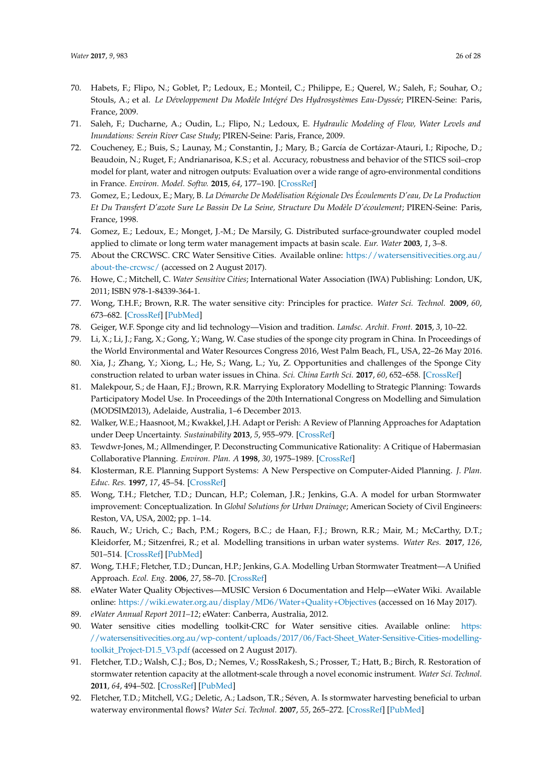- <span id="page-25-0"></span>70. Habets, F.; Flipo, N.; Goblet, P.; Ledoux, E.; Monteil, C.; Philippe, E.; Querel, W.; Saleh, F.; Souhar, O.; Stouls, A.; et al. *Le Développement Du Modèle Intégré Des Hydrosystèmes Eau-Dyssée*; PIREN-Seine: Paris, France, 2009.
- <span id="page-25-1"></span>71. Saleh, F.; Ducharne, A.; Oudin, L.; Flipo, N.; Ledoux, E. *Hydraulic Modeling of Flow, Water Levels and Inundations: Serein River Case Study*; PIREN-Seine: Paris, France, 2009.
- <span id="page-25-2"></span>72. Coucheney, E.; Buis, S.; Launay, M.; Constantin, J.; Mary, B.; García de Cortázar-Atauri, I.; Ripoche, D.; Beaudoin, N.; Ruget, F.; Andrianarisoa, K.S.; et al. Accuracy, robustness and behavior of the STICS soil–crop model for plant, water and nitrogen outputs: Evaluation over a wide range of agro-environmental conditions in France. *Environ. Model. Softw.* **2015**, *64*, 177–190. [\[CrossRef\]](http://dx.doi.org/10.1016/j.envsoft.2014.11.024)
- <span id="page-25-3"></span>73. Gomez, E.; Ledoux, E.; Mary, B. *La Démarche De Modélisation Régionale Des Écoulements D'eau, De La Production Et Du Transfert D'azote Sure Le Bassin De La Seine, Structure Du Modèle D'écoulement*; PIREN-Seine: Paris, France, 1998.
- <span id="page-25-4"></span>74. Gomez, E.; Ledoux, E.; Monget, J.-M.; De Marsily, G. Distributed surface-groundwater coupled model applied to climate or long term water management impacts at basin scale. *Eur. Water* **2003**, *1*, 3–8.
- <span id="page-25-5"></span>75. About the CRCWSC. CRC Water Sensitive Cities. Available online: [https://watersensitivecities.org.au/](https://watersensitivecities.org.au/about-the-crcwsc/) [about-the-crcwsc/](https://watersensitivecities.org.au/about-the-crcwsc/) (accessed on 2 August 2017).
- <span id="page-25-6"></span>76. Howe, C.; Mitchell, C. *Water Sensitive Cities*; International Water Association (IWA) Publishing: London, UK, 2011; ISBN 978-1-84339-364-1.
- <span id="page-25-7"></span>77. Wong, T.H.F.; Brown, R.R. The water sensitive city: Principles for practice. *Water Sci. Technol.* **2009**, *60*, 673–682. [\[CrossRef\]](http://dx.doi.org/10.2166/wst.2009.436) [\[PubMed\]](http://www.ncbi.nlm.nih.gov/pubmed/19657162)
- <span id="page-25-8"></span>78. Geiger, W.F. Sponge city and lid technology—Vision and tradition. *Landsc. Archit. Front.* **2015**, *3*, 10–22.
- 79. Li, X.; Li, J.; Fang, X.; Gong, Y.; Wang, W. Case studies of the sponge city program in China. In Proceedings of the World Environmental and Water Resources Congress 2016, West Palm Beach, FL, USA, 22–26 May 2016.
- <span id="page-25-9"></span>80. Xia, J.; Zhang, Y.; Xiong, L.; He, S.; Wang, L.; Yu, Z. Opportunities and challenges of the Sponge City construction related to urban water issues in China. *Sci. China Earth Sci.* **2017**, *60*, 652–658. [\[CrossRef\]](http://dx.doi.org/10.1007/s11430-016-0111-8)
- <span id="page-25-10"></span>81. Malekpour, S.; de Haan, F.J.; Brown, R.R. Marrying Exploratory Modelling to Strategic Planning: Towards Participatory Model Use. In Proceedings of the 20th International Congress on Modelling and Simulation (MODSIM2013), Adelaide, Australia, 1–6 December 2013.
- <span id="page-25-11"></span>82. Walker, W.E.; Haasnoot, M.; Kwakkel, J.H. Adapt or Perish: A Review of Planning Approaches for Adaptation under Deep Uncertainty. *Sustainability* **2013**, *5*, 955–979. [\[CrossRef\]](http://dx.doi.org/10.3390/su5030955)
- <span id="page-25-12"></span>83. Tewdwr-Jones, M.; Allmendinger, P. Deconstructing Communicative Rationality: A Critique of Habermasian Collaborative Planning. *Environ. Plan. A* **1998**, *30*, 1975–1989. [\[CrossRef\]](http://dx.doi.org/10.1068/a301975)
- <span id="page-25-13"></span>84. Klosterman, R.E. Planning Support Systems: A New Perspective on Computer-Aided Planning. *J. Plan. Educ. Res.* **1997**, *17*, 45–54. [\[CrossRef\]](http://dx.doi.org/10.1177/0739456X9701700105)
- <span id="page-25-14"></span>85. Wong, T.H.; Fletcher, T.D.; Duncan, H.P.; Coleman, J.R.; Jenkins, G.A. A model for urban Stormwater improvement: Conceptualization. In *Global Solutions for Urban Drainage*; American Society of Civil Engineers: Reston, VA, USA, 2002; pp. 1–14.
- <span id="page-25-15"></span>86. Rauch, W.; Urich, C.; Bach, P.M.; Rogers, B.C.; de Haan, F.J.; Brown, R.R.; Mair, M.; McCarthy, D.T.; Kleidorfer, M.; Sitzenfrei, R.; et al. Modelling transitions in urban water systems. *Water Res.* **2017**, *126*, 501–514. [\[CrossRef\]](http://dx.doi.org/10.1016/j.watres.2017.09.039) [\[PubMed\]](http://www.ncbi.nlm.nih.gov/pubmed/29031187)
- <span id="page-25-16"></span>87. Wong, T.H.F.; Fletcher, T.D.; Duncan, H.P.; Jenkins, G.A. Modelling Urban Stormwater Treatment—A Unified Approach. *Ecol. Eng.* **2006**, *27*, 58–70. [\[CrossRef\]](http://dx.doi.org/10.1016/j.ecoleng.2005.10.014)
- <span id="page-25-17"></span>88. eWater Water Quality Objectives—MUSIC Version 6 Documentation and Help—eWater Wiki. Available online: <https://wiki.ewater.org.au/display/MD6/Water+Quality+Objectives> (accessed on 16 May 2017).
- <span id="page-25-18"></span>89. *eWater Annual Report 2011–12*; eWater: Canberra, Australia, 2012.
- <span id="page-25-19"></span>90. Water sensitive cities modelling toolkit-CRC for Water sensitive cities. Available online: [https:](https://watersensitivecities.org.au/wp-content/uploads/2017/06/Fact-Sheet_Water-Sensitive-Cities-modelling-toolkit_Project-D1.5_V3.pdf) [//watersensitivecities.org.au/wp-content/uploads/2017/06/Fact-Sheet\\_Water-Sensitive-Cities-modelling](https://watersensitivecities.org.au/wp-content/uploads/2017/06/Fact-Sheet_Water-Sensitive-Cities-modelling-toolkit_Project-D1.5_V3.pdf)[toolkit\\_Project-D1.5\\_V3.pdf](https://watersensitivecities.org.au/wp-content/uploads/2017/06/Fact-Sheet_Water-Sensitive-Cities-modelling-toolkit_Project-D1.5_V3.pdf) (accessed on 2 August 2017).
- <span id="page-25-20"></span>91. Fletcher, T.D.; Walsh, C.J.; Bos, D.; Nemes, V.; RossRakesh, S.; Prosser, T.; Hatt, B.; Birch, R. Restoration of stormwater retention capacity at the allotment-scale through a novel economic instrument. *Water Sci. Technol.* **2011**, *64*, 494–502. [\[CrossRef\]](http://dx.doi.org/10.2166/wst.2011.184) [\[PubMed\]](http://www.ncbi.nlm.nih.gov/pubmed/22097025)
- 92. Fletcher, T.D.; Mitchell, V.G.; Deletic, A.; Ladson, T.R.; Séven, A. Is stormwater harvesting beneficial to urban waterway environmental flows? *Water Sci. Technol.* **2007**, *55*, 265–272. [\[CrossRef\]](http://dx.doi.org/10.2166/wst.2007.117) [\[PubMed\]](http://www.ncbi.nlm.nih.gov/pubmed/17425094)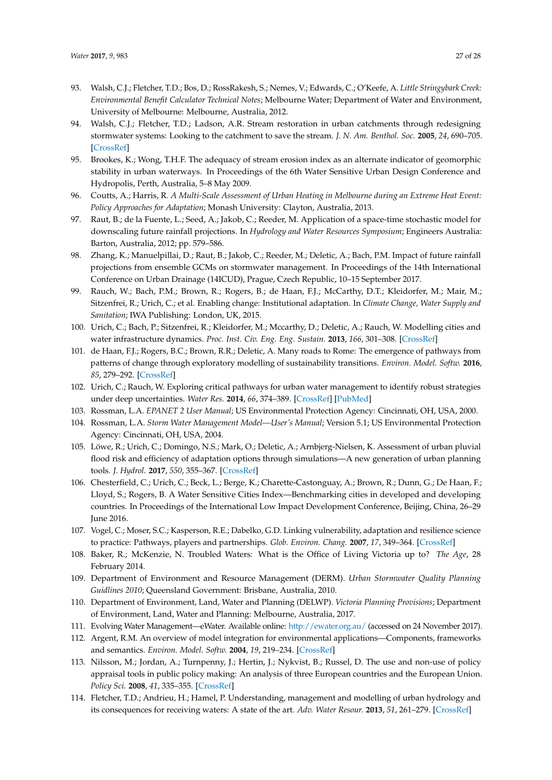- 93. Walsh, C.J.; Fletcher, T.D.; Bos, D.; RossRakesh, S.; Nemes, V.; Edwards, C.; O'Keefe, A. *Little Stringybark Creek: Environmental Benefit Calculator Technical Notes*; Melbourne Water; Department of Water and Environment, University of Melbourne: Melbourne, Australia, 2012.
- <span id="page-26-0"></span>94. Walsh, C.J.; Fletcher, T.D.; Ladson, A.R. Stream restoration in urban catchments through redesigning stormwater systems: Looking to the catchment to save the stream. *J. N. Am. Benthol. Soc.* **2005**, *24*, 690–705. [\[CrossRef\]](http://dx.doi.org/10.1899/04-020.1)
- <span id="page-26-1"></span>95. Brookes, K.; Wong, T.H.F. The adequacy of stream erosion index as an alternate indicator of geomorphic stability in urban waterways. In Proceedings of the 6th Water Sensitive Urban Design Conference and Hydropolis, Perth, Australia, 5–8 May 2009.
- <span id="page-26-2"></span>96. Coutts, A.; Harris, R. *A Multi-Scale Assessment of Urban Heating in Melbourne during an Extreme Heat Event: Policy Approaches for Adaptation*; Monash University: Clayton, Australia, 2013.
- <span id="page-26-3"></span>97. Raut, B.; de la Fuente, L.; Seed, A.; Jakob, C.; Reeder, M. Application of a space-time stochastic model for downscaling future rainfall projections. In *Hydrology and Water Resources Symposium*; Engineers Australia: Barton, Australia, 2012; pp. 579–586.
- <span id="page-26-4"></span>98. Zhang, K.; Manuelpillai, D.; Raut, B.; Jakob, C.; Reeder, M.; Deletic, A.; Bach, P.M. Impact of future rainfall projections from ensemble GCMs on stormwater management. In Proceedings of the 14th International Conference on Urban Drainage (14ICUD), Prague, Czech Republic, 10–15 September 2017.
- <span id="page-26-5"></span>99. Rauch, W.; Bach, P.M.; Brown, R.; Rogers, B.; de Haan, F.J.; McCarthy, D.T.; Kleidorfer, M.; Mair, M.; Sitzenfrei, R.; Urich, C.; et al. Enabling change: Institutional adaptation. In *Climate Change, Water Supply and Sanitation*; IWA Publishing: London, UK, 2015.
- <span id="page-26-6"></span>100. Urich, C.; Bach, P.; Sitzenfrei, R.; Kleidorfer, M.; Mccarthy, D.; Deletic, A.; Rauch, W. Modelling cities and water infrastructure dynamics. *Proc. Inst. Civ. Eng. Eng. Sustain.* **2013**, *166*, 301–308. [\[CrossRef\]](http://dx.doi.org/10.1680/ensu.12.00037)
- <span id="page-26-7"></span>101. de Haan, F.J.; Rogers, B.C.; Brown, R.R.; Deletic, A. Many roads to Rome: The emergence of pathways from patterns of change through exploratory modelling of sustainability transitions. *Environ. Model. Softw.* **2016**, *85*, 279–292. [\[CrossRef\]](http://dx.doi.org/10.1016/j.envsoft.2016.05.019)
- <span id="page-26-8"></span>102. Urich, C.; Rauch, W. Exploring critical pathways for urban water management to identify robust strategies under deep uncertainties. *Water Res.* **2014**, *66*, 374–389. [\[CrossRef\]](http://dx.doi.org/10.1016/j.watres.2014.08.020) [\[PubMed\]](http://www.ncbi.nlm.nih.gov/pubmed/25240118)
- <span id="page-26-9"></span>103. Rossman, L.A. *EPANET 2 User Manual*; US Environmental Protection Agency: Cincinnati, OH, USA, 2000.
- <span id="page-26-10"></span>104. Rossman, L.A. *Storm Water Management Model—User's Manual*; Version 5.1; US Environmental Protection Agency: Cincinnati, OH, USA, 2004.
- <span id="page-26-11"></span>105. Löwe, R.; Urich, C.; Domingo, N.S.; Mark, O.; Deletic, A.; Arnbjerg-Nielsen, K. Assessment of urban pluvial flood risk and efficiency of adaptation options through simulations—A new generation of urban planning tools. *J. Hydrol.* **2017**, *550*, 355–367. [\[CrossRef\]](http://dx.doi.org/10.1016/j.jhydrol.2017.05.009)
- <span id="page-26-12"></span>106. Chesterfield, C.; Urich, C.; Beck, L.; Berge, K.; Charette-Castonguay, A.; Brown, R.; Dunn, G.; De Haan, F.; Lloyd, S.; Rogers, B. A Water Sensitive Cities Index—Benchmarking cities in developed and developing countries. In Proceedings of the International Low Impact Development Conference, Beijing, China, 26–29 June 2016.
- <span id="page-26-13"></span>107. Vogel, C.; Moser, S.C.; Kasperson, R.E.; Dabelko, G.D. Linking vulnerability, adaptation and resilience science to practice: Pathways, players and partnerships. *Glob. Environ. Chang.* **2007**, *17*, 349–364. [\[CrossRef\]](http://dx.doi.org/10.1016/j.gloenvcha.2007.05.002)
- <span id="page-26-14"></span>108. Baker, R.; McKenzie, N. Troubled Waters: What is the Office of Living Victoria up to? *The Age*, 28 February 2014.
- <span id="page-26-15"></span>109. Department of Environment and Resource Management (DERM). *Urban Stormwater Quality Planning Guidlines 2010*; Queensland Government: Brisbane, Australia, 2010.
- <span id="page-26-16"></span>110. Department of Environment, Land, Water and Planning (DELWP). *Victoria Planning Provisions*; Department of Environment, Land, Water and Planning: Melbourne, Australia, 2017.
- <span id="page-26-17"></span>111. Evolving Water Management—eWater. Available online: <http://ewater.org.au/> (accessed on 24 November 2017).
- <span id="page-26-18"></span>112. Argent, R.M. An overview of model integration for environmental applications—Components, frameworks and semantics. *Environ. Model. Softw.* **2004**, *19*, 219–234. [\[CrossRef\]](http://dx.doi.org/10.1016/S1364-8152(03)00150-6)
- <span id="page-26-19"></span>113. Nilsson, M.; Jordan, A.; Turnpenny, J.; Hertin, J.; Nykvist, B.; Russel, D. The use and non-use of policy appraisal tools in public policy making: An analysis of three European countries and the European Union. *Policy Sci.* **2008**, *41*, 335–355. [\[CrossRef\]](http://dx.doi.org/10.1007/s11077-008-9071-1)
- <span id="page-26-20"></span>114. Fletcher, T.D.; Andrieu, H.; Hamel, P. Understanding, management and modelling of urban hydrology and its consequences for receiving waters: A state of the art. *Adv. Water Resour.* **2013**, *51*, 261–279. [\[CrossRef\]](http://dx.doi.org/10.1016/j.advwatres.2012.09.001)